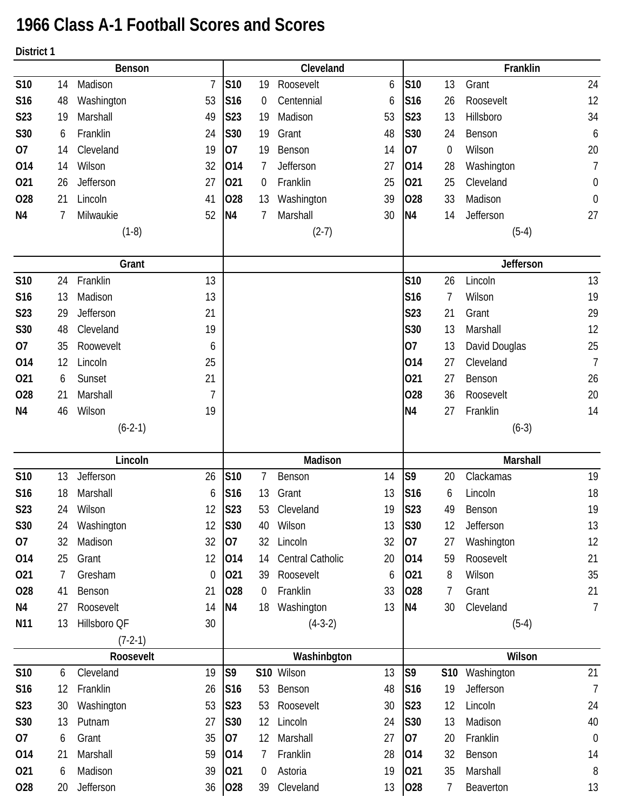## **1966 Class A-1 Football Scores and Scores**

**District 1**

**Benson Cleveland Franklin S10** 14 Madison 7 **S10** 19 Roosevelt 6 **S10** 13 Grant 24 **S16** 48 Washington 53 **S16** 0 Centennial 6 **S16** 26 Roosevelt 12 **S23** 19 Marshall 49 **S23** 19 Madison 53 **S23** 13 Hillsboro 34 **S30** 6 Franklin 24 **S30** 19 Grant 48 **S30** 24 Benson 6 **O7** 14 Cleveland 19 **O7** 19 Benson 14 **O7** 0 Wilson 20 **O14** 14 Wilson 32 **O14** 7 Jefferson 27 **O14** 28 Washington 7 **O21** 26 Jefferson 27 **O21** 0 Franklin 25 **O21** 25 Cleveland 0 **O28** 21 Lincoln 41 **O28** 13 Washington 39 **O28** 33 Madison 0 **N4** 7 Milwaukie 52 **N4** 7 Marshall 30 **N4** 14 Jefferson 27  $(1-8)$  (2-7) (5-4) **Grant Jefferson S10** 24 Franklin 13 **S10** 26 Lincoln 13 **S16** 13 Madison 13 **S16** 7 Wilson 19 **S23** 29 Jefferson 21 **S23** 21 Grant 29 **S30** 48 Cleveland 19 19 12 **O7** 35 Roowevelt 6 6 6 6 6 6 6 6 6 6 6 7 7 8 9 6 6 7 7 8 9 6 7 7 8 9 7 7 8 9 7 7 8 9 7 7 8 7 7 8 7 7 8 7 7 8 7 7 8 7 7 8 7 7 8 7 7 8 7 7 8 7 7 8 7 7 8 7 7 8 7 7 8 7 7 8 7 7 8 7 7 8 7 7 8 7 7 8 7 7 8 7 7 8 7 7 8 7 7 8 7 7 **O14** 12 Lincoln 25 **O14** 27 Cleveland 7 **O21** 6 Sunset 21 **O21** 27 Benson 26 **O28** 21 Marshall 7 **O28** 36 Roosevelt 20 **N4** 46 Wilson 19 **N4** 27 Franklin 14 (6-2-1) (6-3) **Lincoln Madison Marshall S10** 13 Jefferson 26 **S10** 7 Benson 14 **S9** 20 Clackamas 19 **S16** 18 Marshall 6 **S16** 13 Grant 13 **S16** 6 Lincoln 18 **S23** 24 Wilson 12 **S23** 53 Cleveland 19 **S23** 49 Benson 19 **S30** 24 Washington 12 **S30** 40 Wilson 13 **S30** 12 Jefferson 13 **O7** 32 Madison 32 **O7** 32 Lincoln 32 **O7** 27 Washington 12 **O14** 25 Grant 12 **O14** 14 Central Catholic 20 **O14** 59 Roosevelt 21 **O21** 7 Gresham 0 **O21** 39 Roosevelt 6 **O21** 8 Wilson 35 **O28** 41 Benson 21 **O28** 0 Franklin 33 **O28** 7 Grant 21 **N4** 27 Roosevelt 14 **N4** 18 Washington 13 **N4** 30 Cleveland 7 **N11** 13 Hillsboro QF 30 (4-3-2) (5-4) (7-2-1) **Roosevelt Washinbgton Wilson S10** 6 Cleveland 19 **S9 S10** Wilson 13 **S9 S10** Washington 21 **S16** 12 Franklin 26 **S16** 53 Benson 48 **S16** 19 Jefferson 7 **S23** 30 Washington 53 **S23** 53 Roosevelt 30 **S23** 12 Lincoln 24 **S30** 13 Putnam 27 **S30** 12 Lincoln 24 **S30** 13 Madison 40 **O7** 6 Grant 35 **O7** 12 Marshall 27 **O7** 20 Franklin 0 **O14** 21 Marshall 59 **O14** 7 Franklin 28 **O14** 32 Benson 14 **O21** 6 Madison 39 **O21** 0 Astoria 19 **O21** 35 Marshall 8 **O28** 20 Jefferson 36 **O28** 39 Cleveland 13 **O28** 7 Beaverton 13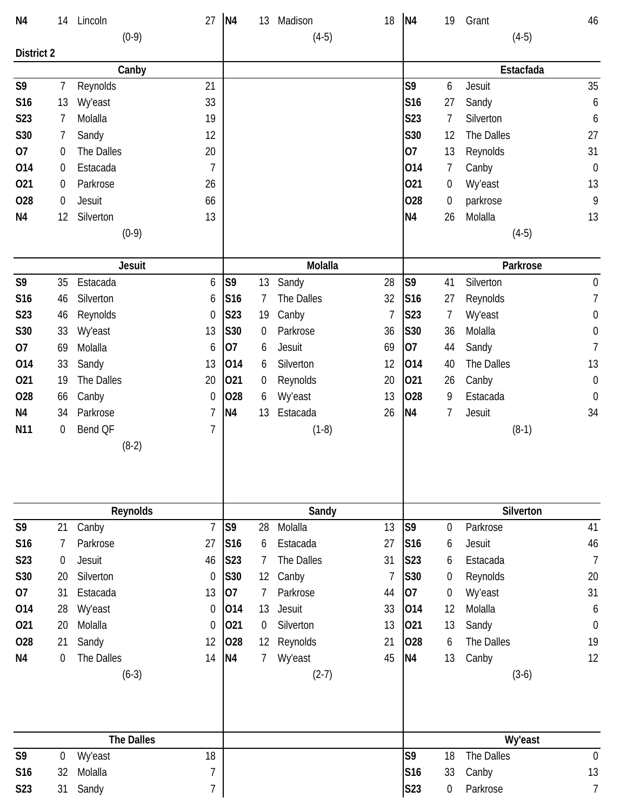| N <sub>4</sub>    | 14               | Lincoln           | 27               | N <sub>4</sub>  | 13               | Madison        | 18             | N <sub>4</sub>  | 19               | Grant          | 46               |
|-------------------|------------------|-------------------|------------------|-----------------|------------------|----------------|----------------|-----------------|------------------|----------------|------------------|
|                   |                  | $(0-9)$           |                  |                 |                  | $(4-5)$        |                |                 |                  | $(4-5)$        |                  |
| <b>District 2</b> |                  |                   |                  |                 |                  |                |                |                 |                  |                |                  |
|                   |                  | Canby             |                  |                 |                  |                |                |                 |                  | Estacfada      |                  |
| S9                | 7                | Reynolds          | 21               |                 |                  |                |                | S9              | 6                | Jesuit         | 35               |
| S16               | 13               | Wy'east           | 33               |                 |                  |                |                | S16             | 27               | Sandy          | 6                |
| S <sub>2</sub> 3  | 7                | Molalla           | 19               |                 |                  |                |                | S23             | 7                | Silverton      | 6                |
| S30               | 7                | Sandy             | 12               |                 |                  |                |                | S30             | 12               | The Dalles     | 27               |
| 07                | 0                | The Dalles        | 20               |                 |                  |                |                | 07              | 13               | Reynolds       | 31               |
| 014               | 0                | Estacada          | $\overline{1}$   |                 |                  |                |                | 014             | 7                | Canby          | $\mathbf 0$      |
| 021               | 0                | Parkrose          | 26               |                 |                  |                |                | 021             | 0                | Wy'east        | 13               |
| 028               | 0                | Jesuit            | 66               |                 |                  |                |                | <b>O28</b>      | 0                | parkrose       | 9                |
| N <sub>4</sub>    | 12               | Silverton         | 13               |                 |                  |                |                | N <sub>4</sub>  | 26               | Molalla        | 13               |
|                   |                  | $(0-9)$           |                  |                 |                  |                |                |                 |                  | $(4-5)$        |                  |
|                   |                  |                   |                  |                 |                  |                |                |                 |                  |                |                  |
|                   |                  | <b>Jesuit</b>     |                  |                 |                  | Molalla        |                |                 |                  | Parkrose       |                  |
| S9                | 35               | Estacada          | 6                | S9              | 13               | Sandy          | 28             | S <sub>9</sub>  | 41               | Silverton      | $\boldsymbol{0}$ |
| S16               | 46               | Silverton         | 6                | S16             | 7                | The Dalles     | 32             | S <sub>16</sub> | 27               | Reynolds       | $\overline{7}$   |
| S23               | 46               | Reynolds          | 0                | <b>S23</b>      | 19               | Canby          | 7              | <b>S23</b>      | 7                | <b>Wy'east</b> | $\boldsymbol{0}$ |
| S30               | 33               | <b>Wy'east</b>    | 13               | S30             | 0                | Parkrose       | 36             | <b>S30</b>      | 36               | Molalla        | $\boldsymbol{0}$ |
| 07                | 69               | Molalla           | 6                | 07              | 6                | Jesuit         | 69             | 07              | 44               | Sandy          | $\overline{1}$   |
| 014               | 33               | Sandy             | 13               | 014             | 6                | Silverton      | 12             | 014             | 40               | The Dalles     | 13               |
| 021               | 19               | The Dalles        | 20               | 021             | 0                | Reynolds       | 20             | 021             | 26               | Canby          | $\boldsymbol{0}$ |
| 028               | 66               | Canby             | $\boldsymbol{0}$ | 028             | 6                | Wy'east        | 13             | <b>O28</b>      | 9                | Estacada       | $\mathbf 0$      |
| N <sub>4</sub>    | 34               | Parkrose          | 7                | N <sub>4</sub>  | 13               | Estacada       | 26             | N <sub>4</sub>  | 7                | Jesuit         | 34               |
| N <sub>11</sub>   | $\boldsymbol{0}$ | Bend QF           | $\overline{1}$   |                 |                  | $(1-8)$        |                |                 |                  | $(8-1)$        |                  |
|                   |                  | $(8-2)$           |                  |                 |                  |                |                |                 |                  |                |                  |
|                   |                  |                   |                  |                 |                  |                |                |                 |                  |                |                  |
|                   |                  |                   |                  |                 |                  |                |                |                 |                  |                |                  |
|                   |                  | Reynolds          |                  |                 |                  | Sandy          |                |                 |                  | Silverton      |                  |
| S9                | 21               | Canby             | $\overline{1}$   | S9              | 28               | Molalla        | 13             | S <sub>9</sub>  | 0                | Parkrose       | 41               |
| S16               | 7                | Parkrose          | 27               | S <sub>16</sub> | 6                | Estacada       | 27             | S16             | 6                | Jesuit         | 46               |
| S23               | 0                | Jesuit            | 46               | S23             | 7                | The Dalles     | 31             | S23             | 6                | Estacada       | $\overline{7}$   |
| S30               | 20               | Silverton         | $\boldsymbol{0}$ | S30             | 12               | Canby          | $\overline{1}$ | S30             | 0                | Reynolds       | 20               |
| 07                | 31               | Estacada          | 13               | 07              |                  | Parkrose       | 44             | 07              | $\boldsymbol{0}$ | Wy'east        | 31               |
| 014               | 28               | <b>Wy'east</b>    | $\mathbf 0$      | 014             | 13               | Jesuit         | 33             | 014             | 12               | Molalla        | 6                |
| 021               | 20               | Molalla           | $\mathbf 0$      | 021             | $\boldsymbol{0}$ | Silverton      | 13             | 021             | 13               | Sandy          | $\boldsymbol{0}$ |
| <b>O28</b>        | 21               | Sandy             | 12               | 028             | 12               | Reynolds       | 21             | 028             | 6                | The Dalles     | 19               |
| N <sub>4</sub>    | 0                | The Dalles        | 14               | N <sub>4</sub>  | 7                | <b>Wy'east</b> | 45             | N <sub>4</sub>  | 13               | Canby          | 12               |
|                   |                  | $(6-3)$           |                  |                 |                  | $(2-7)$        |                |                 |                  | $(3-6)$        |                  |
|                   |                  |                   |                  |                 |                  |                |                |                 |                  |                |                  |
|                   |                  |                   |                  |                 |                  |                |                |                 |                  |                |                  |
|                   |                  |                   |                  |                 |                  |                |                |                 |                  |                |                  |
|                   |                  | <b>The Dalles</b> |                  |                 |                  |                |                |                 |                  | Wy'east        |                  |
| S9                | 0                | <b>Wy'east</b>    | 18               |                 |                  |                |                | S9              | 18               | The Dalles     | $\boldsymbol{0}$ |
| S <sub>16</sub>   | 32               | Molalla           | 7                |                 |                  |                |                | S16             | 33               | Canby          | 13               |
| S23               | 31               | Sandy             | 7                |                 |                  |                |                | S <sub>23</sub> | 0                | Parkrose       | 7                |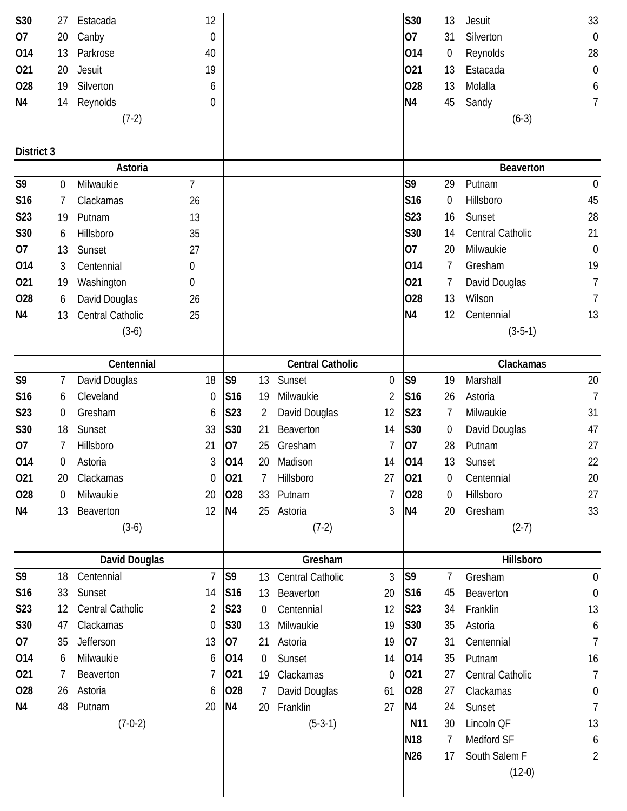| S30            | 27               | Estacada             | 12               |                 |                |                         |                  | S30             | 13               | Jesuit           | 33               |
|----------------|------------------|----------------------|------------------|-----------------|----------------|-------------------------|------------------|-----------------|------------------|------------------|------------------|
| 07             | 20               | Canby                | $\boldsymbol{0}$ |                 |                |                         |                  | 07              | 31               | Silverton        | $\boldsymbol{0}$ |
| 014            | 13               | Parkrose             | 40               |                 |                |                         |                  | 014             | $\theta$         | Reynolds         | 28               |
| 021            | 20               | Jesuit               | 19               |                 |                |                         |                  | 021             | 13               | Estacada         | $\boldsymbol{0}$ |
| 028            | 19               | Silverton            | 6                |                 |                |                         |                  | 028             | 13               | Molalla          | 6                |
| N <sub>4</sub> | 14               | Reynolds             | 0                |                 |                |                         |                  | N <sub>4</sub>  | 45               | Sandy            | 7                |
|                |                  | $(7-2)$              |                  |                 |                |                         |                  |                 |                  | $(6-3)$          |                  |
|                |                  |                      |                  |                 |                |                         |                  |                 |                  |                  |                  |
| District 3     |                  |                      |                  |                 |                |                         |                  |                 |                  |                  |                  |
|                |                  | Astoria              |                  |                 |                |                         |                  |                 |                  | Beaverton        |                  |
| S9             | 0                | Milwaukie            | $\overline{7}$   |                 |                |                         |                  | S <sub>9</sub>  | 29               | Putnam           | $\theta$         |
| S16            | 7                | Clackamas            | 26               |                 |                |                         |                  | S <sub>16</sub> | $\boldsymbol{0}$ | Hillsboro        | 45               |
| S23            | 19               | Putnam               | 13               |                 |                |                         |                  | S23             | 16               | Sunset           | 28               |
| S30            | 6                | Hillsboro            | 35               |                 |                |                         |                  | S30             | 14               | Central Catholic | 21               |
| 07             | 13               | Sunset               | 27               |                 |                |                         |                  | 07              | 20               | Milwaukie        | $\mathbf 0$      |
| 014            | 3                | Centennial           | 0                |                 |                |                         |                  | 014             | 7                | Gresham          | 19               |
| 021            | 19               | Washington           | 0                |                 |                |                         |                  | 021             | 7                | David Douglas    | $\overline{7}$   |
| 028            | 6                | David Douglas        | 26               |                 |                |                         |                  | 028             | 13               | Wilson           | 7                |
| N4             | 13               | Central Catholic     | 25               |                 |                |                         |                  | N <sub>4</sub>  | 12               | Centennial       | 13               |
|                |                  | $(3-6)$              |                  |                 |                |                         |                  |                 |                  | $(3-5-1)$        |                  |
|                |                  | Centennial           |                  |                 |                | <b>Central Catholic</b> |                  |                 |                  | Clackamas        |                  |
| S9             | 7                | David Douglas        | 18               | S <sub>9</sub>  | 13             | Sunset                  | $\boldsymbol{0}$ | S9              | 19               | Marshall         | $20\,$           |
| S16            | 6                | Cleveland            | 0                | S <sub>16</sub> | 19             | Milwaukie               | 2                | S16             | 26               | Astoria          | $\overline{1}$   |
| S23            | 0                | Gresham              | 6                | <b>S23</b>      | 2              | David Douglas           | 12               | <b>S23</b>      | 7                | Milwaukie        | 31               |
| S30            | 18               | Sunset               | 33               | S30             | 21             | Beaverton               | 14               | S30             | $\boldsymbol{0}$ | David Douglas    | 47               |
| 07             | 7                | Hillsboro            | 21               | 07              | 25             | Gresham                 | 7                | 07              | 28               | Putnam           | 27               |
| 014            | 0                | Astoria              | 3                | 014             | 20             | Madison                 | 14               | 014             | 13               | Sunset           | 22               |
| 021            | 20               | Clackamas            | $\boldsymbol{0}$ | 021             |                | Hillsboro               | 27               | 021             | 0                | Centennial       | 20               |
| 028            | $\boldsymbol{0}$ | Milwaukie            | 20               | 028             | 33             | Putnam                  | 7                | 028             | $\overline{0}$   | Hillsboro        | 27               |
| N4             | 13               | Beaverton            | 12               | N <sub>4</sub>  | 25             | Astoria                 | 3                | N <sub>4</sub>  | 20               | Gresham          | 33               |
|                |                  | $(3-6)$              |                  |                 |                | $(7-2)$                 |                  |                 |                  | $(2-7)$          |                  |
|                |                  |                      |                  |                 |                |                         |                  |                 |                  |                  |                  |
|                |                  | <b>David Douglas</b> |                  |                 |                | Gresham                 |                  |                 |                  | Hillsboro        |                  |
| S9             | 18               | Centennial           | $\overline{1}$   | S <sub>9</sub>  | 13             | Central Catholic        | 3                | S9              | 7                | Gresham          | $\theta$         |
| S16            | 33               | Sunset               | 14               | S <sub>16</sub> | 13             | Beaverton               | 20               | <b>S16</b>      | 45               | Beaverton        | $\theta$         |
| S23            | 12               | Central Catholic     | 2                | S23             | $\overline{0}$ | Centennial              | 12               | S23             | 34               | Franklin         | 13               |
| S30            | 47               | Clackamas            | 0                | S30             | 13             | Milwaukie               | 19               | <b>S30</b>      | 35               | Astoria          | 6                |
| 07             | 35               | Jefferson            | 13               | 07              | 21             | Astoria                 | 19               | 07              | 31               | Centennial       | 7                |
| 014            | 6                | Milwaukie            | 6                | 014             | $\overline{0}$ | Sunset                  | 14               | 014             | 35               | Putnam           | 16               |
| 021            | 7                | Beaverton            | 7                | 021             | 19             | Clackamas               | $\boldsymbol{0}$ | 021             | 27               | Central Catholic | $\overline{7}$   |
| 028            | 26               | Astoria              | 6                | 028             | 7              | David Douglas           | 61               | 028             | 27               | Clackamas        | $\boldsymbol{0}$ |
| N4             | 48               | Putnam               | 20               | N <sub>4</sub>  | 20             | Franklin                | 27               | N <sub>4</sub>  | 24               | Sunset           | $\overline{1}$   |
|                |                  | $(7-0-2)$            |                  |                 |                | $(5-3-1)$               |                  | N11             | 30               | Lincoln QF       | 13               |
|                |                  |                      |                  |                 |                |                         |                  | N <sub>18</sub> | 7                | Medford SF       | 6                |
|                |                  |                      |                  |                 |                |                         |                  | <b>N26</b>      | 17               | South Salem F    | $\overline{2}$   |
|                |                  |                      |                  |                 |                |                         |                  |                 |                  | $(12-0)$         |                  |
|                |                  |                      |                  |                 |                |                         |                  |                 |                  |                  |                  |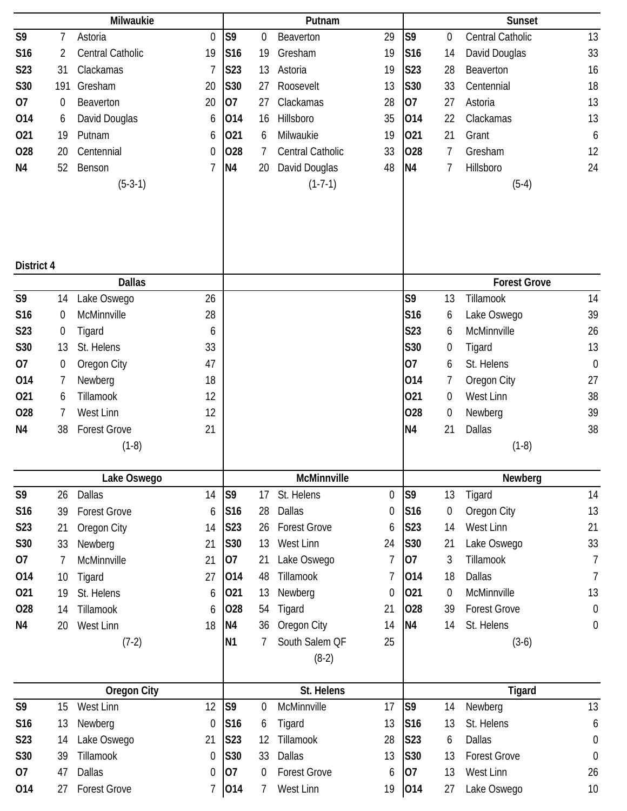|                  |                  | Milwaukie           |                  |                 |                  | Putnam              |                  |                |                  | <b>Sunset</b>       |                  |
|------------------|------------------|---------------------|------------------|-----------------|------------------|---------------------|------------------|----------------|------------------|---------------------|------------------|
| S9               | 7                | Astoria             | $\mathbf 0$      | S <sub>9</sub>  | 0                | Beaverton           | 29               | S <sub>9</sub> | 0                | Central Catholic    | 13               |
| S16              | 2                | Central Catholic    | 19               | S <sub>16</sub> | 19               | Gresham             | 19               | S16            | 14               | David Douglas       | 33               |
| S23              | 31               | Clackamas           | 7                | S23             | 13               | Astoria             | 19               | S23            | 28               | Beaverton           | 16               |
| S30              | 191              | Gresham             | 20               | S30             | 27               | Roosevelt           | 13               | S30            | 33               | Centennial          | 18               |
| 07               | $\boldsymbol{0}$ | Beaverton           | 20               | 07              | 27               | Clackamas           | 28               | 07             | 27               | Astoria             | 13               |
| 014              | 6                | David Douglas       | 6                | 014             | 16               | Hillsboro           | 35               | 014            | 22               | Clackamas           | 13               |
| 021              | 19               | Putnam              | 6                | 021             | 6                | Milwaukie           | 19               | 021            | 21               | Grant               | 6                |
| 028              | 20               | Centennial          | 0                | 028             | 7                | Central Catholic    | 33               | 028            | $\overline{7}$   | Gresham             | 12               |
| N4               | 52               | Benson              | 7                | N4              | 20               | David Douglas       | 48               | N <sub>4</sub> | 7                | Hillsboro           | 24               |
|                  |                  | $(5-3-1)$           |                  |                 |                  | $(1-7-1)$           |                  |                |                  | $(5-4)$             |                  |
|                  |                  |                     |                  |                 |                  |                     |                  |                |                  |                     |                  |
| District 4       |                  |                     |                  |                 |                  |                     |                  |                |                  |                     |                  |
|                  |                  | <b>Dallas</b>       |                  |                 |                  |                     |                  |                |                  | <b>Forest Grove</b> |                  |
| S9               | 14               | Lake Oswego         | 26               |                 |                  |                     |                  | S9             | 13               | Tillamook           | 14               |
| S16              | 0                | McMinnville         | 28               |                 |                  |                     |                  | S16            | 6                | Lake Oswego         | 39               |
| S23              | 0                | Tigard              | 6                |                 |                  |                     |                  | <b>S23</b>     | 6                | McMinnville         | 26               |
| S30              | 13               | St. Helens          | 33               |                 |                  |                     |                  | S30            | 0                | Tigard              | 13               |
| 07               | $\boldsymbol{0}$ | Oregon City         | 47               |                 |                  |                     |                  | 07             | 6                | St. Helens          | $\mathbf 0$      |
| 014              | 7                | Newberg             | 18               |                 |                  |                     |                  | 014            | 7                | Oregon City         | 27               |
| 021              | 6                | Tillamook           | 12               |                 |                  |                     |                  | 021            | 0                | West Linn           | 38               |
| 028              | 7                | West Linn           | 12               |                 |                  |                     |                  | 028            | 0                | Newberg             | 39               |
| N <sub>4</sub>   | 38               | <b>Forest Grove</b> | 21               |                 |                  |                     |                  | N <sub>4</sub> | 21               | <b>Dallas</b>       | 38               |
|                  |                  | $(1-8)$             |                  |                 |                  |                     |                  |                |                  | $(1-8)$             |                  |
|                  |                  | Lake Oswego         |                  |                 |                  | McMinnville         |                  |                |                  | Newberg             |                  |
| S <sub>9</sub>   | 26               | Dallas              | 14               | S9              | 17               | St. Helens          | 0                | S <sub>9</sub> | 13               | Tigard              | 14               |
| S <sub>16</sub>  | 39               | <b>Forest Grove</b> | 6                | S16             | 28               | Dallas              | 0                | S16            | $\boldsymbol{0}$ | Oregon City         | 13               |
| <b>S23</b>       | 21               | Oregon City         | 14               | S23             | 26               | <b>Forest Grove</b> | 6                | S23            | 14               | West Linn           | 21               |
| S30              | 33               | Newberg             | 21               | S30             | 13               | West Linn           | 24               | S30            | 21               | Lake Oswego         | 33               |
| 07               | 7                | McMinnville         | 21               | 07              | 21               | Lake Oswego         | $\overline{1}$   | 07             | 3                | Tillamook           | 7                |
| 014              | 10               | Tigard              | 27               | 014             | 48               | Tillamook           | $\overline{7}$   | 014            | 18               | <b>Dallas</b>       | 7                |
| 021              | 19               | St. Helens          | 6                | 021             | 13               | Newberg             | $\boldsymbol{0}$ | 021            | 0                | McMinnville         | 13               |
| 028              | 14               | Tillamook           | 6                | 028             | 54               | Tigard              | 21               | 028            | 39               | <b>Forest Grove</b> | $\boldsymbol{0}$ |
| N4               | 20               | West Linn           | 18               | N <sub>4</sub>  | 36               | Oregon City         | 14               | N <sub>4</sub> | 14               | St. Helens          | $\boldsymbol{0}$ |
|                  |                  | $(7-2)$             |                  | N <sub>1</sub>  | 7                | South Salem QF      | 25               |                |                  | $(3-6)$             |                  |
|                  |                  |                     |                  |                 |                  | $(8-2)$             |                  |                |                  |                     |                  |
|                  |                  | <b>Oregon City</b>  |                  |                 |                  | St. Helens          |                  |                |                  | <b>Tigard</b>       |                  |
| S9               | 15               | West Linn           | 12               | S <sub>9</sub>  | $\boldsymbol{0}$ | McMinnville         | 17               | S <sub>9</sub> | 14               | Newberg             | 13               |
| S16              | 13               | Newberg             | $\boldsymbol{0}$ | S <sub>16</sub> | 6                | Tigard              | 13               | S16            | 13               | St. Helens          | 6                |
| S <sub>2</sub> 3 | 14               | Lake Oswego         | 21               | S23             | 12               | Tillamook           | 28               | S23            | 6                | <b>Dallas</b>       | $\boldsymbol{0}$ |
| S30              | 39               | Tillamook           | $\boldsymbol{0}$ | S30             | 33               | Dallas              | 13               | S30            | 13               | <b>Forest Grove</b> | $\boldsymbol{0}$ |
| 07               | 47               | <b>Dallas</b>       | 0                | 07              | $\boldsymbol{0}$ | <b>Forest Grove</b> | 6                | 07             | 13               | West Linn           | 26               |
| 014              | 27               | <b>Forest Grove</b> | 7                | 014             | 7                | West Linn           | 19               | 014            | 27               | Lake Oswego         | 10               |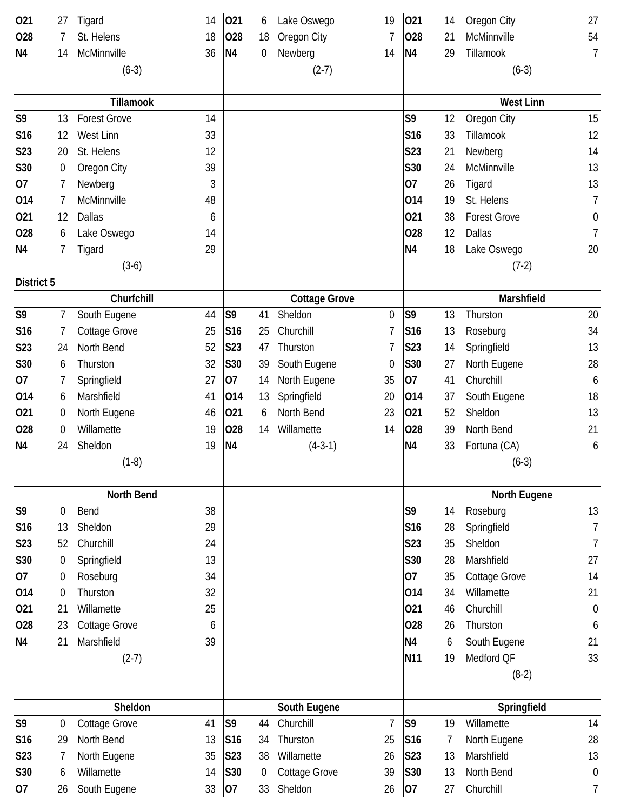| 021            | 27               | Tigard               | 14 | 021             | 6  | Lake Oswego          | 19             | 021             | 14 | Oregon City          | 27               |
|----------------|------------------|----------------------|----|-----------------|----|----------------------|----------------|-----------------|----|----------------------|------------------|
| 028            | 7                | St. Helens           | 18 | 028             | 18 | Oregon City          | 7              | 028             | 21 | McMinnville          | 54               |
| N <sub>4</sub> | 14               | McMinnville          | 36 | N <sub>4</sub>  | 0  | Newberg              | 14             | N <sub>4</sub>  | 29 | Tillamook            | $\overline{7}$   |
|                |                  | $(6-3)$              |    |                 |    | $(2-7)$              |                |                 |    | $(6-3)$              |                  |
|                |                  |                      |    |                 |    |                      |                |                 |    |                      |                  |
|                |                  | Tillamook            |    |                 |    |                      |                |                 |    | <b>West Linn</b>     |                  |
| S9             | 13               | <b>Forest Grove</b>  | 14 |                 |    |                      |                | S9              | 12 | Oregon City          | 15               |
| S16            | 12               | West Linn            | 33 |                 |    |                      |                | S <sub>16</sub> | 33 | Tillamook            | 12               |
| S23            | 20               | St. Helens           | 12 |                 |    |                      |                | <b>S23</b>      | 21 | Newberg              | 14               |
| S30            | 0                | Oregon City          | 39 |                 |    |                      |                | S30             | 24 | McMinnville          | 13               |
| 07             | 7                | Newberg              | 3  |                 |    |                      |                | 07              | 26 | Tigard               | 13               |
| 014            | 7                | McMinnville          | 48 |                 |    |                      |                | 014             | 19 | St. Helens           | 7                |
| 021            | 12               | Dallas               | 6  |                 |    |                      |                | 021             | 38 | <b>Forest Grove</b>  | 0                |
| 028            | 6                | Lake Oswego          | 14 |                 |    |                      |                | 028             | 12 | Dallas               | 7                |
| N4             | 7                | Tigard               | 29 |                 |    |                      |                | <b>N4</b>       | 18 | Lake Oswego          | 20               |
|                |                  | $(3-6)$              |    |                 |    |                      |                |                 |    | $(7-2)$              |                  |
| District 5     |                  |                      |    |                 |    |                      |                |                 |    |                      |                  |
|                |                  | Churfchill           |    |                 |    | <b>Cottage Grove</b> |                |                 |    | Marshfield           |                  |
| S9             | 7                | South Eugene         | 44 | S <sub>9</sub>  | 41 | Sheldon              | 0              | S <sub>9</sub>  | 13 | Thurston             | 20               |
| S16            | 7                | <b>Cottage Grove</b> | 25 | S16             | 25 | Churchill            | 7              | S16             | 13 | Roseburg             | 34               |
| S23            | 24               | North Bend           | 52 | <b>S23</b>      | 47 | Thurston             | 7              | S23             | 14 | Springfield          | 13               |
| S30            | 6                | Thurston             | 32 | S30             | 39 | South Eugene         | 0              | S30             | 27 | North Eugene         | 28               |
| 07             | 7                | Springfield          | 27 | 07              | 14 | North Eugene         | 35             | 07              | 41 | Churchill            | 6                |
| 014            | 6                | Marshfield           | 41 | 014             | 13 | Springfield          | 20             | 014             | 37 | South Eugene         | 18               |
| 021            | 0                | North Eugene         | 46 | 021             | 6  | North Bend           | 23             | 021             | 52 | Sheldon              | 13               |
| 028            | 0                | Willamette           | 19 | 028             | 14 | Willamette           | 14             | 028             | 39 | North Bend           | 21               |
| N4             | 24               | Sheldon              | 19 | N <sub>4</sub>  |    | $(4-3-1)$            |                | N <sub>4</sub>  | 33 | Fortuna (CA)         | 6                |
|                |                  | $(1-8)$              |    |                 |    |                      |                |                 |    | $(6-3)$              |                  |
|                |                  | North Bend           |    |                 |    |                      |                |                 |    | North Eugene         |                  |
| S9             | 0                | Bend                 | 38 |                 |    |                      |                | S9              | 14 | Roseburg             | 13               |
| S16            | 13               | Sheldon              | 29 |                 |    |                      |                | S16             | 28 | Springfield          | $\overline{1}$   |
| S23            | 52               | Churchill            | 24 |                 |    |                      |                | S23             | 35 | Sheldon              | $\overline{7}$   |
| S30            | 0                | Springfield          | 13 |                 |    |                      |                | <b>S30</b>      | 28 | Marshfield           | 27               |
| 07             | 0                | Roseburg             | 34 |                 |    |                      |                | 07              | 35 | <b>Cottage Grove</b> | 14               |
| 014            | $\overline{0}$   | Thurston             | 32 |                 |    |                      |                | 014             | 34 | Willamette           | 21               |
| 021            | 21               | Willamette           | 25 |                 |    |                      |                | 021             | 46 | Churchill            | $\mathbf 0$      |
|                |                  |                      |    |                 |    |                      |                | 028             |    |                      |                  |
| 028            | 23               | <b>Cottage Grove</b> | 6  |                 |    |                      |                |                 | 26 | Thurston             | 6                |
| N <sub>4</sub> | 21               | Marshfield           | 39 |                 |    |                      |                | <b>N4</b>       | 6  | South Eugene         | 21               |
|                |                  | $(2-7)$              |    |                 |    |                      |                | N <sub>11</sub> | 19 | Medford QF           | 33               |
|                |                  |                      |    |                 |    |                      |                |                 |    | $(8-2)$              |                  |
|                |                  | Sheldon              |    |                 |    | South Eugene         |                |                 |    | Springfield          |                  |
| S9             | $\boldsymbol{0}$ | Cottage Grove        | 41 | S <sub>9</sub>  | 44 | Churchill            | $\overline{1}$ | S9              | 19 | Willamette           | 14               |
| S16            | 29               | North Bend           | 13 | S <sub>16</sub> | 34 | Thurston             | 25             | S16             | 7  | North Eugene         | 28               |
| S23            | 7                | North Eugene         | 35 | <b>S23</b>      | 38 | Willamette           | 26             | S23             | 13 | Marshfield           | 13               |
| S30            | 6                | Willamette           | 14 | S30             | 0  | Cottage Grove        | 39             | S30             | 13 | North Bend           | $\boldsymbol{0}$ |
| 07             | 26               | South Eugene         | 33 | 07              | 33 | Sheldon              | 26             | 07              | 27 | Churchill            | 7                |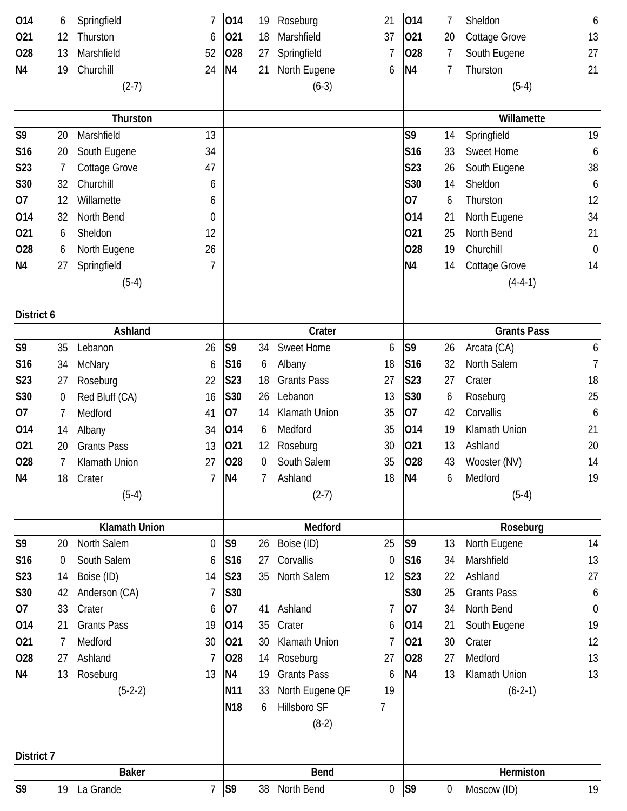| 014              | 6  | Springfield          | 7              | 014             | 19             | Roseburg           | 21               | 014             | 7                | Sheldon              | 6              |
|------------------|----|----------------------|----------------|-----------------|----------------|--------------------|------------------|-----------------|------------------|----------------------|----------------|
| 021              | 12 | Thurston             | 6              | 021             | 18             | Marshfield         | 37               | 021             | 20               | Cottage Grove        | 13             |
| 028              | 13 | Marshfield           | 52             | 028             | 27             | Springfield        | 7                | 028             | 7                | South Eugene         | 27             |
| N <sub>4</sub>   | 19 | Churchill            | 24             | N <sub>4</sub>  | 21             | North Eugene       | 6                | N <sub>4</sub>  | 7                | Thurston             | 21             |
|                  |    | $(2-7)$              |                |                 |                | $(6-3)$            |                  |                 |                  | $(5-4)$              |                |
|                  |    |                      |                |                 |                |                    |                  |                 |                  |                      |                |
|                  |    | Thurston             |                |                 |                |                    |                  |                 |                  | Willamette           |                |
| S9               | 20 | Marshfield           | 13             |                 |                |                    |                  | S9              | 14               | Springfield          | 19             |
| S16              | 20 | South Eugene         | 34             |                 |                |                    |                  | S16             | 33               | <b>Sweet Home</b>    | 6              |
| S <sub>2</sub> 3 | 7  | Cottage Grove        | 47             |                 |                |                    |                  | S <sub>23</sub> | 26               | South Eugene         | 38             |
| S30              | 32 | Churchill            | 6              |                 |                |                    |                  | S30             | 14               | Sheldon              | 6              |
| 07               | 12 | Willamette           | 6              |                 |                |                    |                  | 07              | 6                | Thurston             | 12             |
| 014              | 32 | North Bend           | 0              |                 |                |                    |                  | 014             | 21               | North Eugene         | 34             |
| 021              | 6  | Sheldon              | 12             |                 |                |                    |                  | 021             | 25               | North Bend           | 21             |
| 028              | 6  | North Eugene         | 26             |                 |                |                    |                  | 028             | 19               | Churchill            | $\mathbf 0$    |
| N <sub>4</sub>   | 27 | Springfield          | 7              |                 |                |                    |                  | N <sub>4</sub>  | 14               | <b>Cottage Grove</b> | 14             |
|                  |    | $(5-4)$              |                |                 |                |                    |                  |                 |                  | $(4-4-1)$            |                |
|                  |    |                      |                |                 |                |                    |                  |                 |                  |                      |                |
| District 6       |    |                      |                |                 |                |                    |                  |                 |                  |                      |                |
|                  |    | Ashland              |                |                 |                | Crater             |                  |                 |                  | <b>Grants Pass</b>   |                |
| S9               | 35 | Lebanon              | 26             | S <sub>9</sub>  | 34             | <b>Sweet Home</b>  | 6                | S <sub>9</sub>  | 26               | Arcata (CA)          | 6              |
| S <sub>16</sub>  | 34 | <b>McNary</b>        | 6              | S <sub>16</sub> | 6              | Albany             | 18               | S <sub>16</sub> | 32               | North Salem          | $\overline{7}$ |
| S23              | 27 | Roseburg             | 22             | <b>S23</b>      | 18             | <b>Grants Pass</b> | 27               | S23             | 27               | Crater               | 18             |
| S30              | 0  | Red Bluff (CA)       | 16             | S30             | 26             | Lebanon            | 13               | S30             | 6                | Roseburg             | 25             |
| 07               | 7  | Medford              | 41             | 07              | 14             | Klamath Union      | 35               | 07              | 42               | Corvallis            | 6              |
| 014              | 14 | Albany               | 34             | 014             | 6              | Medford            | 35               | 014             | 19               | Klamath Union        | 21             |
| 021              | 20 | <b>Grants Pass</b>   | 13             | 021             | 12             | Roseburg           | 30               | 021             | 13               | Ashland              | 20             |
| 028              | 7  | Klamath Union        | 27             | 028             | 0              | South Salem        | 35               | 028             | 43               | Wooster (NV)         | 14             |
| N <sub>4</sub>   | 18 | Crater               | $\overline{1}$ | N <sub>4</sub>  | $\overline{7}$ | Ashland            | 18               | N <sub>4</sub>  | 6                | Medford              | 19             |
|                  |    | $(5-4)$              |                |                 |                | $(2-7)$            |                  |                 |                  | $(5-4)$              |                |
|                  |    |                      |                |                 |                |                    |                  |                 |                  |                      |                |
|                  |    | <b>Klamath Union</b> |                |                 |                | Medford            |                  |                 |                  | Roseburg             |                |
| S9               | 20 | North Salem          | $\overline{0}$ | S <sub>9</sub>  | 26             | Boise (ID)         | 25               | S <sub>9</sub>  | 13               | North Eugene         | 14             |
| S16              | 0  | South Salem          | 6              | S <sub>16</sub> | 27             | Corvallis          | $\mathbf 0$      | S <sub>16</sub> | 34               | Marshfield           | 13             |
| S23              | 14 | Boise (ID)           | 14             | S23             | 35             | North Salem        | 12               | S23             | 22               | Ashland              | 27             |
| S30              | 42 | Anderson (CA)        | 7              | S30             |                |                    |                  | S30             | 25               | <b>Grants Pass</b>   | 6              |
| 07               | 33 | Crater               | 6              | 07              | 41             | Ashland            | 7                | 07              | 34               | North Bend           | $\mathbf 0$    |
| 014              | 21 | <b>Grants Pass</b>   | 19             | 014             | 35             | Crater             | 6                | 014             | 21               | South Eugene         | 19             |
| 021              | 7  | Medford              | 30             | 021             | 30             | Klamath Union      | 7                | 021             | 30               | Crater               | 12             |
| 028              | 27 | Ashland              | 7              | 028             | 14             | Roseburg           | 27               | 028             | 27               | Medford              | 13             |
| N4               | 13 | Roseburg             | 13             | N <sub>4</sub>  | 19             | <b>Grants Pass</b> | 6                | <b>N4</b>       | 13               | Klamath Union        | 13             |
|                  |    | $(5-2-2)$            |                | N <sub>11</sub> | 33             | North Eugene QF    | 19               |                 |                  | $(6-2-1)$            |                |
|                  |    |                      |                | N <sub>18</sub> | 6              | Hillsboro SF       | 7                |                 |                  |                      |                |
|                  |    |                      |                |                 |                | $(8-2)$            |                  |                 |                  |                      |                |
|                  |    |                      |                |                 |                |                    |                  |                 |                  |                      |                |
| District 7       |    | <b>Baker</b>         |                |                 |                | <b>Bend</b>        |                  |                 |                  | Hermiston            |                |
| S9               | 19 | La Grande            | $\overline{7}$ | S9              | 38             | North Bend         | $\boldsymbol{0}$ | S <sub>9</sub>  | $\boldsymbol{0}$ | Moscow (ID)          | 19             |
|                  |    |                      |                |                 |                |                    |                  |                 |                  |                      |                |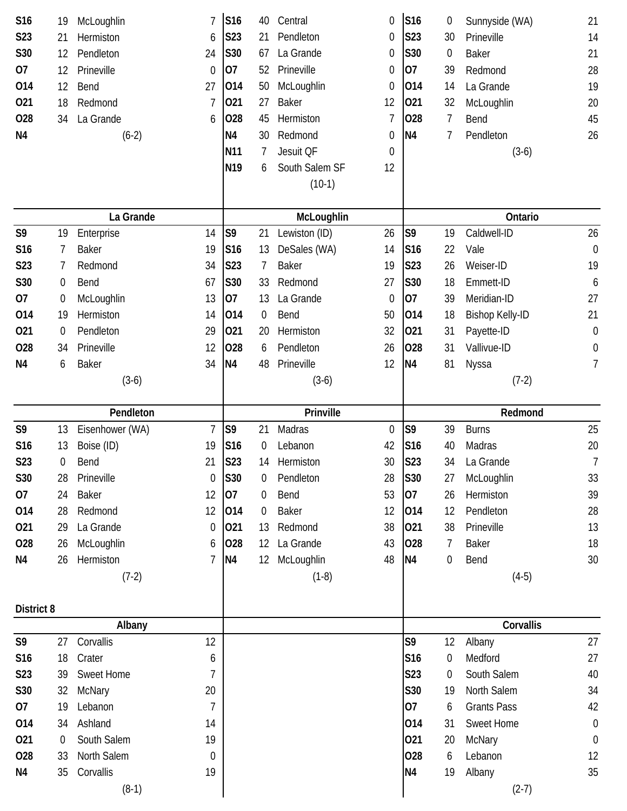| S16              | 19               | McLoughlin           | 7              | S16             | 40             | Central        | 0                | S16            | $\boldsymbol{0}$ | Sunnyside (WA)         | 21               |
|------------------|------------------|----------------------|----------------|-----------------|----------------|----------------|------------------|----------------|------------------|------------------------|------------------|
| <b>S23</b>       | 21               | Hermiston            | 6              | S23             | 21             | Pendleton      | 0                | S23            | 30               | Prineville             | 14               |
| S30              | 12               | Pendleton            | 24             | S30             | 67             | La Grande      | 0                | S30            | $\overline{0}$   | <b>Baker</b>           | 21               |
| 07               | 12               | Prineville           | $\mathbf 0$    | 07              | 52             | Prineville     | 0                | 07             | 39               | Redmond                | 28               |
| 014              | 12               | Bend                 | 27             | 014             | 50             | McLoughlin     | 0                | 014            | 14               | La Grande              | 19               |
| 021              | 18               | Redmond              | 7              | 021             | 27             | <b>Baker</b>   | 12               | 021            | 32               | McLoughlin             | 20               |
| 028              | 34               | La Grande            | 6              | 028             | 45             | Hermiston      | 7                | 028            | 7                | Bend                   | 45               |
| N <sub>4</sub>   |                  | $(6-2)$              |                | N <sub>4</sub>  | 30             | Redmond        | 0                | N4             | 7                | Pendleton              | 26               |
|                  |                  |                      |                | <b>N11</b>      | 7              | Jesuit OF      | $\boldsymbol{0}$ |                |                  | $(3-6)$                |                  |
|                  |                  |                      |                | N <sub>19</sub> | 6              | South Salem SF | 12               |                |                  |                        |                  |
|                  |                  |                      |                |                 |                | $(10-1)$       |                  |                |                  |                        |                  |
|                  |                  |                      |                |                 |                |                |                  |                |                  |                        |                  |
|                  |                  | La Grande            |                |                 |                | McLoughlin     |                  |                |                  | Ontario                |                  |
| S9               | 19               | Enterprise           | 14             | S <sub>9</sub>  | 21             | Lewiston (ID)  | 26               | S9             | 19               | Caldwell-ID            | 26               |
| S16              | 7                | <b>Baker</b>         | 19             | S16             | 13             | DeSales (WA)   | 14               | S16            | 22               | Vale                   | $\mathbf 0$      |
| S <sub>2</sub> 3 | 7                | Redmond              | 34             | S23             | 7              | <b>Baker</b>   | 19               | S23            | 26               | Weiser-ID              | 19               |
| S30              | 0                | Bend                 | 67             | S30             | 33             | Redmond        | 27               | S30            | 18               | Emmett-ID              | 6                |
| 07               | 0                | McLoughlin           | 13             | 07              | 13             | La Grande      | 0                | 07             | 39               | Meridian-ID            | 27               |
| 014              | 19               | Hermiston            | 14             | 014             | $\overline{0}$ | Bend           | 50               | 014            | 18               | <b>Bishop Kelly-ID</b> | 21               |
| 021              | 0                | Pendleton            | 29             | 021             | 20             | Hermiston      | 32               | 021            | 31               | Payette-ID             | $\boldsymbol{0}$ |
| 028              | 34               | Prineville           | 12             | 028             | 6              | Pendleton      | 26               | 028            | 31               | Vallivue-ID            | 0                |
| N <sub>4</sub>   | 6                | <b>Baker</b>         | 34             | <b>N4</b>       | 48             | Prineville     | 12               | N <sub>4</sub> | 81               | Nyssa                  | 7                |
|                  |                  | $(3-6)$              |                |                 |                | $(3-6)$        |                  |                |                  | $(7-2)$                |                  |
|                  |                  |                      |                |                 |                |                |                  |                |                  |                        |                  |
|                  |                  |                      |                |                 |                |                |                  |                |                  |                        |                  |
|                  |                  | Pendleton            |                |                 |                | Prinville      |                  |                |                  | Redmond                |                  |
| S9               | 13               | Eisenhower (WA)      | $\overline{1}$ | S <sub>9</sub>  | 21             | Madras         | 0                | S9             | 39               | <b>Burns</b>           | 25               |
| S <sub>16</sub>  | 13               | Boise (ID)           | 19             | S <sub>16</sub> | $\overline{0}$ | Lebanon        | 42               | S16            | 40               | Madras                 | 20               |
| S <sub>2</sub> 3 | 0                | Bend                 | 21             | <b>S23</b>      | 14             | Hermiston      | 30               | S23            | 34               | La Grande              | $\overline{7}$   |
| S30              | 28               | Prineville           | $\mathbf 0$    | S30             | 0              | Pendleton      | 28               | S30            | 27               | McLoughlin             | 33               |
| 07               | 24               | <b>Baker</b>         | 12             | 07              | 0              | Bend           | 53               | 07             | 26               | Hermiston              | 39               |
| 014              | 28               | Redmond              | 12             | 014             | 0              | <b>Baker</b>   | 12               | 014            | 12               | Pendleton              | 28               |
| 021              | 29               | La Grande            | 0              | 021             | 13             | Redmond        | 38               | 021            | 38               | Prineville             | 13               |
| 028              | 26               | McLoughlin           | 6              | 028             | 12             | La Grande      | 43               | 028            | 7                | <b>Baker</b>           | 18               |
| N4               | 26               | Hermiston            | 7              | N <sub>4</sub>  | $12 \,$        | McLoughlin     | 48               | N <sub>4</sub> | 0                | Bend                   | 30               |
|                  |                  | $(7-2)$              |                |                 |                | $(1-8)$        |                  |                |                  | $(4-5)$                |                  |
|                  |                  |                      |                |                 |                |                |                  |                |                  |                        |                  |
| District 8       |                  |                      |                |                 |                |                |                  |                |                  |                        |                  |
|                  |                  | Albany               |                |                 |                |                |                  |                |                  | Corvallis              |                  |
| S9               | 27               | Corvallis            | 12             |                 |                |                |                  | S9             | 12               | Albany                 | 27               |
| S16              | 18               | Crater               | 6              |                 |                |                |                  | S16            | 0                | Medford                | 27               |
| S23              | 39               | Sweet Home           | 7              |                 |                |                |                  | S23            | $\overline{0}$   | South Salem            | 40               |
| S30              | 32               | <b>McNary</b>        | 20             |                 |                |                |                  | S30            | 19               | North Salem            | 34               |
| 07               | 19               | Lebanon              | 7              |                 |                |                |                  | 07             | 6                | <b>Grants Pass</b>     | 42               |
| 014              | 34               | Ashland              | 14             |                 |                |                |                  | 014            | 31               | Sweet Home             | $\mathbf 0$      |
| 021              | $\boldsymbol{0}$ | South Salem          | 19             |                 |                |                |                  | 021            | 20               | McNary                 | $\boldsymbol{0}$ |
| 028              | 33               | North Salem          | 0              |                 |                |                |                  | 028            | 6                | Lebanon                | 12               |
| N4               | 35               | Corvallis<br>$(8-1)$ | 19             |                 |                |                |                  | N <sub>4</sub> | 19               | Albany<br>$(2-7)$      | 35               |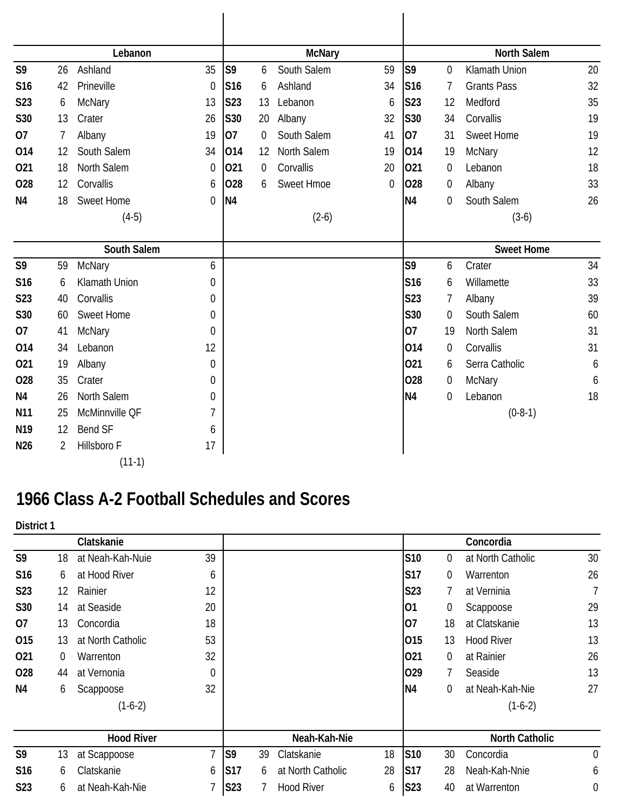|                 |    | Lebanon              |                  |                 |    | <b>McNary</b>     |                  |                 |                  | <b>North Salem</b> |    |
|-----------------|----|----------------------|------------------|-----------------|----|-------------------|------------------|-----------------|------------------|--------------------|----|
| S <sub>9</sub>  | 26 | Ashland              | 35               | S <sub>9</sub>  | 6  | South Salem       | 59               | S <sub>9</sub>  | $\overline{0}$   | Klamath Union      | 20 |
| S <sub>16</sub> | 42 | Prineville           | $\mathbf 0$      | S <sub>16</sub> | 6  | Ashland           | 34               | S <sub>16</sub> | 7                | <b>Grants Pass</b> | 32 |
| <b>S23</b>      | 6  | McNary               | 13               | S23             | 13 | Lebanon           | 6                | S23             | 12               | Medford            | 35 |
| <b>S30</b>      | 13 | Crater               | 26               | S30             | 20 | Albany            | 32               | <b>S30</b>      | 34               | Corvallis          | 19 |
| 07              | 7  | Albany               | 19               | lO7             | 0  | South Salem       | 41               | 07              | 31               | Sweet Home         | 19 |
| 014             | 12 | South Salem          | 34               | 014             | 12 | North Salem       | 19               | 014             | 19               | McNary             | 12 |
| 021             | 18 | North Salem          | $\mathbf 0$      | 021             | 0  | Corvallis         | 20               | 021             | 0                | Lebanon            | 18 |
| <b>O28</b>      | 12 | Corvallis            | 6                | 028             | 6  | <b>Sweet Hmoe</b> | $\boldsymbol{0}$ | 028             | 0                | Albany             | 33 |
| N <sub>4</sub>  | 18 | <b>Sweet Home</b>    | $\overline{0}$   | N <sub>4</sub>  |    |                   |                  | <b>N4</b>       | $\overline{0}$   | South Salem        | 26 |
|                 |    | $(4-5)$              |                  |                 |    | $(2-6)$           |                  |                 |                  | $(3-6)$            |    |
|                 |    |                      |                  |                 |    |                   |                  |                 |                  |                    |    |
|                 |    | South Salem          |                  |                 |    |                   |                  |                 |                  | <b>Sweet Home</b>  |    |
| S <sub>9</sub>  | 59 | McNary               | 6                |                 |    |                   |                  | S9              | 6                | Crater             | 34 |
| S <sub>16</sub> | 6  | <b>Klamath Union</b> | $\overline{0}$   |                 |    |                   |                  | S <sub>16</sub> | 6                | Willamette         | 33 |
| <b>S23</b>      | 40 | Corvallis            | $\mathbf 0$      |                 |    |                   |                  | <b>S23</b>      | 7                | Albany             | 39 |
| <b>S30</b>      | 60 | <b>Sweet Home</b>    | $\theta$         |                 |    |                   |                  | S30             | $\Omega$         | South Salem        | 60 |
| 07              | 41 | <b>McNary</b>        | $\theta$         |                 |    |                   |                  | <b>O7</b>       | 19               | North Salem        | 31 |
| 014             | 34 | Lebanon              | 12               |                 |    |                   |                  | 014             | $\overline{0}$   | Corvallis          | 31 |
| 021             | 19 | Albany               | $\overline{0}$   |                 |    |                   |                  | 021             | 6                | Serra Catholic     | 6  |
| 028             | 35 | Crater               | $\theta$         |                 |    |                   |                  | 028             | $\boldsymbol{0}$ | McNary             | 6  |
| N <sub>4</sub>  | 26 | <b>North Salem</b>   | $\boldsymbol{0}$ |                 |    |                   |                  | N <sub>4</sub>  | $\overline{0}$   | Lebanon            | 18 |
| N <sub>11</sub> | 25 | McMinnville QF       | 7                |                 |    |                   |                  |                 |                  | $(0-8-1)$          |    |
| N <sub>19</sub> | 12 | <b>Bend SF</b>       | 6                |                 |    |                   |                  |                 |                  |                    |    |
| N <sub>26</sub> | 2  | Hillsboro F          | 17               |                 |    |                   |                  |                 |                  |                    |    |
|                 |    |                      |                  |                 |    |                   |                  |                 |                  |                    |    |

## **1966 Class A-2 Football Schedules and Scores**

**District 1**

| ו וטוווטו |                   |                |                 |    |                   |    |                  |          |                       |                |
|-----------|-------------------|----------------|-----------------|----|-------------------|----|------------------|----------|-----------------------|----------------|
|           | Clatskanie        |                |                 |    |                   |    |                  |          | Concordia             |                |
| 18        | at Neah-Kah-Nuie  | 39             |                 |    |                   |    | S10              | $\Omega$ | at North Catholic     | 30             |
| 6         | at Hood River     | 6              |                 |    |                   |    | <b>S17</b>       | $\Omega$ | Warrenton             | 26             |
| 12        | Rainier           | 12             |                 |    |                   |    | S23              |          | at Verninia           | 7              |
| 14        | at Seaside        | 20             |                 |    |                   |    | 01               | 0        | Scappoose             | 29             |
| 13        | Concordia         | 18             |                 |    |                   |    | 07               | 18       | at Clatskanie         | 13             |
| 13        | at North Catholic | 53             |                 |    |                   |    | 015              | 13       | <b>Hood River</b>     | 13             |
| 0         | Warrenton         | 32             |                 |    |                   |    | 021              | 0        | at Rainier            | 26             |
| 44        | at Vernonia       | $\theta$       |                 |    |                   |    | 029              |          | Seaside               | 13             |
| 6         | Scappoose         | 32             |                 |    |                   |    | N <sub>4</sub>   | 0        | at Neah-Kah-Nie       | 27             |
|           | $(1-6-2)$         |                |                 |    |                   |    |                  |          | $(1-6-2)$             |                |
|           | <b>Hood River</b> |                |                 |    | Neah-Kah-Nie      |    |                  |          | <b>North Catholic</b> |                |
| 13        | at Scappoose      | $\overline{ }$ | S <sub>9</sub>  | 39 | Clatskanie        | 18 | S <sub>10</sub>  | 30       | Concordia             | $\overline{0}$ |
| 6         | Clatskanie        | 6              | S17             | 6  | at North Catholic | 28 | <b>S17</b>       | 28       | Neah-Kah-Nnie         | 6              |
| 6         | at Neah-Kah-Nie   | ┑              | S <sub>23</sub> |    | <b>Hood River</b> | 6  | S <sub>2</sub> 3 | 40       | at Warrenton          | 0              |
|           |                   |                |                 |    |                   |    |                  |          |                       |                |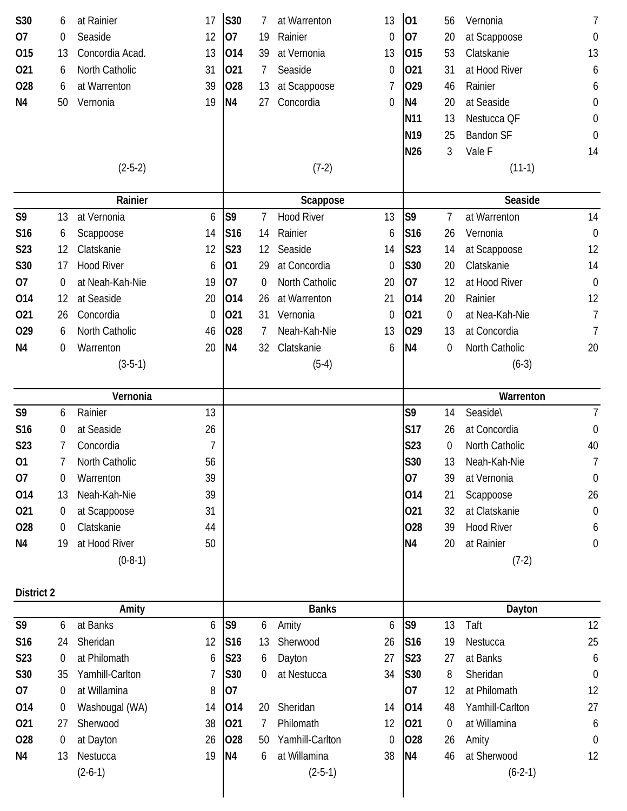| S30            | 6  | at Rainier            | 17               | S30             |                | at Warrenton              | 13               | 01              | 56             | Vernonia                 | 7                |
|----------------|----|-----------------------|------------------|-----------------|----------------|---------------------------|------------------|-----------------|----------------|--------------------------|------------------|
| 07             | 0  | Seaside               | 12               | 07              | 19             | Rainier                   | 0                | 07              | 20             | at Scappoose             | $\boldsymbol{0}$ |
| 015            | 13 | Concordia Acad.       | 13               | 014             | 39             | at Vernonia               | 13               | 015             | 53             | Clatskanie               | 13               |
| 021            | 6  | North Catholic        | 31               | 021             | 7              | Seaside                   | $\boldsymbol{0}$ | 021             | 31             | at Hood River            | 6                |
| 028            | 6  | at Warrenton          | 39               | 028             | 13             | at Scappoose              | 7                | 029             | 46             | Rainier                  | 6                |
| N <sub>4</sub> | 50 | Vernonia              | 19               | <b>N4</b>       | 27             | Concordia                 | 0                | N <sub>4</sub>  | 20             | at Seaside               | $\boldsymbol{0}$ |
|                |    |                       |                  |                 |                |                           |                  | N <sub>11</sub> | 13             | Nestucca QF              | $\boldsymbol{0}$ |
|                |    |                       |                  |                 |                |                           |                  | N <sub>19</sub> | 25             | <b>Bandon SF</b>         | $\boldsymbol{0}$ |
|                |    |                       |                  |                 |                |                           |                  | N <sub>26</sub> | 3              | Vale F                   | 14               |
|                |    | $(2-5-2)$             |                  |                 |                | $(7-2)$                   |                  |                 |                | $(11-1)$                 |                  |
|                |    | Rainier               |                  |                 |                | Scappose                  |                  |                 |                | Seaside                  |                  |
| S9             | 13 | at Vernonia           | 6                | S <sub>9</sub>  | 7              | <b>Hood River</b>         | 13               | S <sub>9</sub>  | 7              | at Warrenton             | 14               |
| S16            | 6  | Scappoose             | 14               | S <sub>16</sub> | 14             | Rainier                   | 6                | S16             | 26             | Vernonia                 | $\mathbf 0$      |
| S23            | 12 | Clatskanie            | 12               | S23             | 12             | Seaside                   | 14               | S23             | 14             | at Scappoose             | 12               |
| S30            | 17 | <b>Hood River</b>     | 6                | 01              | 29             | at Concordia              | $\boldsymbol{0}$ | S30             | 20             | Clatskanie               | 14               |
| 07             | 0  | at Neah-Kah-Nie       | 19               | 07              | $\overline{0}$ | North Catholic            | 20               | 07              | 12             | at Hood River            | $\mathbf 0$      |
| 014            | 12 | at Seaside            | 20               | 014             | 26             | at Warrenton              | 21               | 014             | 20             | Rainier                  | 12               |
| 021            | 26 | Concordia             | $\boldsymbol{0}$ | 021             | 31             | Vernonia                  | $\boldsymbol{0}$ | 021             | 0              | at Nea-Kah-Nie           | $\overline{7}$   |
| 029            | 6  | North Catholic        | 46               | 028             | 7              | Neah-Kah-Nie              | 13               | 029             | 13             | at Concordia             | 7                |
| N <sub>4</sub> | 0  | Warrenton             | 20               | <b>N4</b>       | 32             | Clatskanie                | 6                | N <sub>4</sub>  | 0              | North Catholic           | 20               |
|                |    | $(3-5-1)$             |                  |                 |                | $(5-4)$                   |                  |                 |                | $(6-3)$                  |                  |
|                |    | Vernonia              |                  |                 |                |                           |                  |                 |                | Warrenton                |                  |
| S9             | 6  | Rainier               | 13               |                 |                |                           |                  | S9              | 14             | Seaside\                 | $\overline{7}$   |
| S16            | 0  | at Seaside            | 26               |                 |                |                           |                  | <b>S17</b>      | 26             | at Concordia             | $\boldsymbol{0}$ |
| S23            | 7  | Concordia             | 7                |                 |                |                           |                  | S23             | $\overline{0}$ | North Catholic           | 40               |
| 01             | 7  | North Catholic        | 56               |                 |                |                           |                  | S30             | 13             | Neah-Kah-Nie             | 7                |
| 07             | 0  | Warrenton             | 39               |                 |                |                           |                  | 07              | 39             | at Vernonia              | $\boldsymbol{0}$ |
| 014            | 13 | Neah-Kah-Nie          | 39               |                 |                |                           |                  | 014             | 21             | Scappoose                | 26               |
| 021            | 0  | at Scappoose          | 31               |                 |                |                           |                  | 021             | 32             | at Clatskanie            | $\boldsymbol{0}$ |
| 028            | 0  | Clatskanie            | 44               |                 |                |                           |                  | 028             | 39             | <b>Hood River</b>        | 6                |
| N <sub>4</sub> | 19 | at Hood River         | 50               |                 |                |                           |                  | N <sub>4</sub>  | 20             | at Rainier               | $\boldsymbol{0}$ |
|                |    | $(0-8-1)$             |                  |                 |                |                           |                  |                 |                | $(7-2)$                  |                  |
| District 2     |    |                       |                  |                 |                |                           |                  |                 |                |                          |                  |
|                |    | Amity                 |                  |                 |                | <b>Banks</b>              |                  |                 |                | Dayton                   |                  |
| S9             | 6  | at Banks              | 6                | S <sub>9</sub>  | 6              | Amity                     | 6                | S <sub>9</sub>  | 13             | Taft                     | 12               |
| S16            | 24 | Sheridan              | 12               | S <sub>16</sub> | 13             | Sherwood                  | 26               | S <sub>16</sub> | 19             | Nestucca                 | 25               |
| S23            | 0  | at Philomath          | 6                | <b>S23</b>      | 6              | Dayton                    | 27               | <b>S23</b>      | 27             | at Banks                 | 6                |
| S30            | 35 | Yamhill-Carlton       | 7                | S30             | 0              | at Nestucca               | 34               | S30             | 8              | Sheridan                 | $\theta$         |
| 07             | 0  | at Willamina          | 8                | 07              |                |                           |                  | 07              | 12             | at Philomath             | 12               |
| 014            | 0  | Washougal (WA)        | 14               | 014             | 20             | Sheridan                  | 14               | 014             | 48             | Yamhill-Carlton          | 27               |
| 021            | 27 | Sherwood              | 38               | 021             |                | Philomath                 | 12               | 021             | 0              | at Willamina             | 6                |
| 028            | 0  | at Dayton             | 26               | 028             | 50             | Yamhill-Carlton           | $\boldsymbol{0}$ | 028             | 26             | Amity                    | $\theta$         |
|                |    |                       |                  |                 |                |                           |                  |                 |                |                          |                  |
| N4             | 13 | Nestucca<br>$(2-6-1)$ | 19               | <b>N4</b>       | 6              | at Willamina<br>$(2-5-1)$ | 38               | N <sub>4</sub>  | 46             | at Sherwood<br>$(6-2-1)$ | 12               |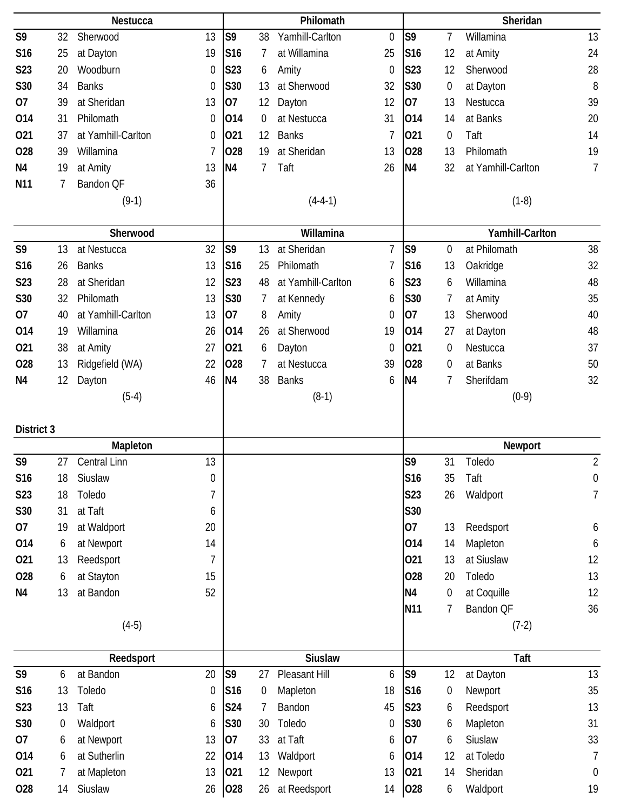|                 |    | Nestucca               |             |                 |    | Philomath               |                  |                 |                  | Sheridan             |                        |
|-----------------|----|------------------------|-------------|-----------------|----|-------------------------|------------------|-----------------|------------------|----------------------|------------------------|
| S9              | 32 | Sherwood               | 13          | S <sub>9</sub>  | 38 | Yamhill-Carlton         | $\boldsymbol{0}$ | S9              | $\overline{1}$   | Willamina            | 13                     |
| S <sub>16</sub> | 25 | at Dayton              | 19          | <b>S16</b>      | 7  | at Willamina            | 25               | S16             | 12               | at Amity             | 24                     |
| S23             | 20 | Woodburn               | 0           | S23             | 6  | Amity                   | $\boldsymbol{0}$ | S23             | 12               | Sherwood             | 28                     |
| S30             | 34 | <b>Banks</b>           | $\mathbf 0$ | S30             | 13 | at Sherwood             | 32               | S30             | $\boldsymbol{0}$ | at Dayton            | 8                      |
| 07              | 39 | at Sheridan            | 13          | 07              | 12 | Dayton                  | 12               | 07              | 13               | Nestucca             | 39                     |
| 014             | 31 | Philomath              | 0           | 014             | 0  | at Nestucca             | 31               | 014             | 14               | at Banks             | 20                     |
| 021             | 37 | at Yamhill-Carlton     | 0           | 021             | 12 | <b>Banks</b>            | $\overline{1}$   | 021             | 0                | Taft                 | 14                     |
| <b>O28</b>      | 39 | Willamina              | 7           | 028             | 19 | at Sheridan             | 13               | 028             | 13               | Philomath            | 19                     |
| N <sub>4</sub>  | 19 | at Amity               | 13          | <b>N4</b>       | 7  | Taft                    | 26               | N <sub>4</sub>  | 32               | at Yamhill-Carlton   | 7                      |
| N <sub>11</sub> | 7  | Bandon QF              | 36          |                 |    |                         |                  |                 |                  |                      |                        |
|                 |    | $(9-1)$                |             |                 |    | $(4-4-1)$               |                  |                 |                  | $(1-8)$              |                        |
|                 |    | Sherwood               |             |                 |    | Willamina               |                  |                 |                  | Yamhill-Carlton      |                        |
| S9              | 13 | at Nestucca            | 32          | S9              | 13 | at Sheridan             | $\overline{7}$   | S9              | $\mathbf 0$      | at Philomath         | 38                     |
| S <sub>16</sub> | 26 | <b>Banks</b>           | 13          | S16             | 25 | Philomath               | 7                | S16             | 13               | Oakridge             | 32                     |
| <b>S23</b>      | 28 | at Sheridan            | 12          | <b>S23</b>      | 48 | at Yamhill-Carlton      | 6                | <b>S23</b>      | 6                | Willamina            | 48                     |
| S30             | 32 | Philomath              | 13          | S30             | 7  | at Kennedy              | 6                | S30             | 7                | at Amity             | 35                     |
| 07              | 40 | at Yamhill-Carlton     | 13          | 07              | 8  | Amity                   | $\boldsymbol{0}$ | 07              | 13               | Sherwood             | 40                     |
| 014             | 19 | Willamina              | 26          | 014             | 26 | at Sherwood             | 19               | 014             | 27               | at Dayton            | 48                     |
| 021             | 38 | at Amity               | 27          | 021             | 6  | Dayton                  | $\boldsymbol{0}$ | 021             | 0                | Nestucca             | 37                     |
| 028             | 13 | Ridgefield (WA)        | 22          | 028             | 7  | at Nestucca             | 39               | 028             | 0                | at Banks             | 50                     |
| N <sub>4</sub>  | 12 | Dayton                 | 46          | N4              | 38 | <b>Banks</b>            | 6                | N <sub>4</sub>  | 7                | Sherifdam            | 32                     |
|                 |    | $(5-4)$                |             |                 |    | $(8-1)$                 |                  |                 |                  | $(0-9)$              |                        |
|                 |    |                        |             |                 |    |                         |                  |                 |                  |                      |                        |
| District 3      |    |                        |             |                 |    |                         |                  |                 |                  |                      |                        |
|                 |    | Mapleton               |             |                 |    |                         |                  |                 |                  | Newport              |                        |
| S9              | 27 | Central Linn           | 13          |                 |    |                         |                  | S9              | 31               | Toledo               | $\overline{2}$         |
| S16             | 18 | Siuslaw                | 0           |                 |    |                         |                  | S16             | 35               | Taft                 | 0                      |
| S23             | 18 | Toledo                 | 7           |                 |    |                         |                  | S23             | 26               | Waldport             | 7                      |
| S30             | 31 | at Taft                | 6           |                 |    |                         |                  | S30             |                  |                      |                        |
| 07              | 19 | at Waldport            | 20          |                 |    |                         |                  | 07              | 13               | Reedsport            | 6                      |
| 014             | 6  | at Newport             | 14          |                 |    |                         |                  | 014             | 14               | Mapleton             | 6                      |
| 021             | 13 | Reedsport              | 7           |                 |    |                         |                  | 021             | 13               | at Siuslaw           | 12                     |
| 028             | 6  | at Stayton             | 15          |                 |    |                         |                  | 028             | 20               | Toledo               | 13                     |
| N <sub>4</sub>  | 13 | at Bandon              | 52          |                 |    |                         |                  | <b>N4</b>       | 0                | at Coquille          | 12                     |
|                 |    |                        |             |                 |    |                         |                  | N <sub>11</sub> | 7                | Bandon QF            | 36                     |
|                 |    | $(4-5)$                |             |                 |    |                         |                  |                 |                  | $(7-2)$              |                        |
|                 |    | Reedsport              |             |                 |    | <b>Siuslaw</b>          |                  |                 |                  | Taft                 |                        |
| S9              | 6  | at Bandon              | 20          | S <sub>9</sub>  | 27 | Pleasant Hill           | 6                | S <sub>9</sub>  | 12               | at Dayton            | 13                     |
| S16             | 13 | Toledo                 | 0           | S <sub>16</sub> | 0  | Mapleton                | 18               | S <sub>16</sub> | $\boldsymbol{0}$ | Newport              | 35                     |
| S23             | 13 | Taft                   | 6           | S24             | 7  | Bandon                  | 45               | S23             | 6                | Reedsport            | 13                     |
| S30             | 0  | Waldport               | 6           | S30             | 30 | Toledo                  | 0                | S30             | 6                | Mapleton             | 31                     |
| 07              | 6  | at Newport             | 13          | 07              | 33 | at Taft                 | 6                | 07              | 6                | Siuslaw              | 33                     |
| 014             | 6  | at Sutherlin           | 22          | 014             | 13 | Waldport                | 6                | 014             | 12               | at Toledo            | $\overline{1}$         |
| 021<br>028      | 7  | at Mapleton<br>Siuslaw | 13<br>26    | 021<br>028      | 12 | Newport<br>at Reedsport | 13<br>14         | 021<br>028      | 14               | Sheridan<br>Waldport | $\boldsymbol{0}$<br>19 |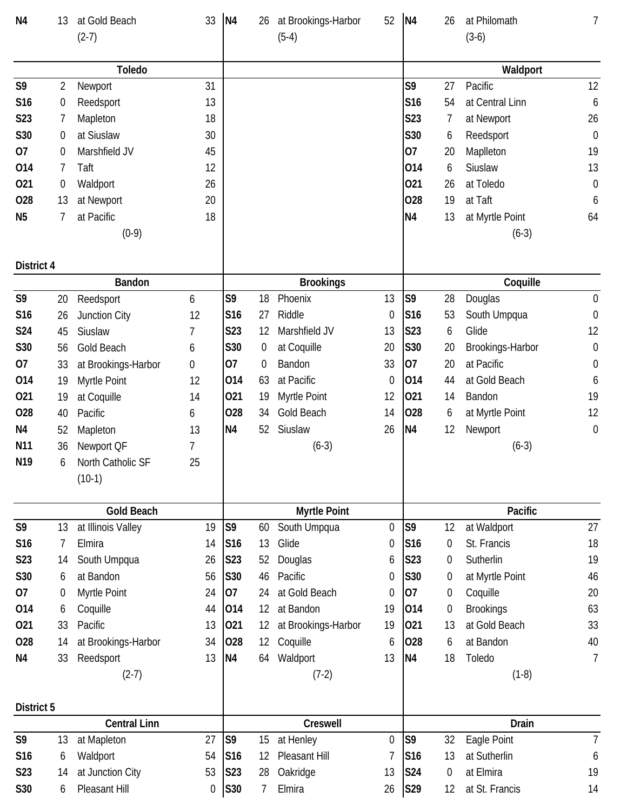| N <sub>4</sub>   | 13             | at Gold Beach       | 33               | N <sub>4</sub>  | 26                | at Brookings-Harbor        | 52                    | N <sub>4</sub>  | 26             | at Philomath                | 7                |
|------------------|----------------|---------------------|------------------|-----------------|-------------------|----------------------------|-----------------------|-----------------|----------------|-----------------------------|------------------|
|                  |                | $(2-7)$             |                  |                 |                   | $(5-4)$                    |                       |                 |                | $(3-6)$                     |                  |
|                  |                |                     |                  |                 |                   |                            |                       |                 |                |                             |                  |
|                  |                | <b>Toledo</b>       |                  |                 |                   |                            |                       |                 |                | Waldport                    |                  |
| S9               | $\overline{2}$ | Newport             | 31               |                 |                   |                            |                       | S9              | 27             | Pacific                     | 12               |
| S16              | 0              | Reedsport           | 13               |                 |                   |                            |                       | S16             | 54             | at Central Linn             | 6                |
| S <sub>2</sub> 3 | 7              | Mapleton            | 18               |                 |                   |                            |                       | S23             | 7              | at Newport                  | 26               |
| S30              | 0              | at Siuslaw          | 30               |                 |                   |                            |                       | S30             | 6              | Reedsport                   | $\mathbf 0$      |
| 07               | 0              | Marshfield JV       | 45               |                 |                   |                            |                       | 07              | 20             | Maplleton                   | 19               |
| 014              | 7              | Taft                | 12               |                 |                   |                            |                       | 014             | 6              | Siuslaw                     | 13               |
| 021              | 0              | Waldport            | 26               |                 |                   |                            |                       | 021             | 26             | at Toledo                   | $\mathbf 0$      |
| 028              | 13             | at Newport          | 20               |                 |                   |                            |                       | 028             | 19             | at Taft                     | 6                |
| N <sub>5</sub>   | 7              | at Pacific          | 18               |                 |                   |                            |                       | N <sub>4</sub>  | 13             | at Myrtle Point             | 64               |
|                  |                | $(0-9)$             |                  |                 |                   |                            |                       |                 |                | $(6-3)$                     |                  |
|                  |                |                     |                  |                 |                   |                            |                       |                 |                |                             |                  |
| District 4       |                |                     |                  |                 |                   |                            |                       |                 |                |                             |                  |
|                  |                | <b>Bandon</b>       |                  |                 |                   | <b>Brookings</b>           |                       |                 |                | Coquille                    |                  |
| S9               | 20             | Reedsport           | 6                | S9              | 18                | Phoenix                    | 13                    | S <sub>9</sub>  | 28             | Douglas                     | $\boldsymbol{0}$ |
| S16              | 26             | Junction City       | 12               | S16             | 27                | Riddle                     | $\boldsymbol{0}$      | S <sub>16</sub> | 53             | South Umpqua                | $\boldsymbol{0}$ |
| <b>S24</b>       | 45             | Siuslaw             | $\overline{1}$   | S23             | 12                | Marshfield JV              | 13                    | <b>S23</b>      | 6              | Glide                       | 12               |
| S30              | 56             | Gold Beach          | 6                | S30             | 0                 | at Coquille                | 20                    | S30             | 20             | Brookings-Harbor            | $\boldsymbol{0}$ |
| 07               | 33             | at Brookings-Harbor | $\boldsymbol{0}$ | 07              | 0                 | Bandon                     | 33                    | 07              | 20             | at Pacific                  | 0                |
| 014              | 19             | Myrtle Point        | 12               | 014             | 63                | at Pacific                 | $\mathbf 0$           | 014             | 44             | at Gold Beach               | 6                |
| 021              | 19             | at Coquille         | 14               | 021             | 19                | Myrtle Point               | 12                    | 021             | 14             | Bandon                      | 19               |
| 028              | 40             | Pacific             | 6                | 028             | 34                | Gold Beach                 | 14                    | 028             | 6              | at Myrtle Point             | 12               |
| N <sub>4</sub>   | 52             | Mapleton            | 13               | <b>N4</b>       | 52                | Siuslaw                    | 26                    | <b>N4</b>       | 12             | Newport                     | $\boldsymbol{0}$ |
| N <sub>11</sub>  | 36             | Newport QF          | 7                |                 |                   | $(6-3)$                    |                       |                 |                | $(6-3)$                     |                  |
| N <sub>19</sub>  | 6              | North Catholic SF   | 25               |                 |                   |                            |                       |                 |                |                             |                  |
|                  |                | $(10-1)$            |                  |                 |                   |                            |                       |                 |                |                             |                  |
|                  |                |                     |                  |                 |                   |                            |                       |                 |                |                             |                  |
|                  |                | <b>Gold Beach</b>   |                  |                 |                   | <b>Myrtle Point</b>        |                       |                 |                | Pacific                     |                  |
| S9               | 13             | at Illinois Valley  | 19               | S <sub>9</sub>  | 60                | South Umpqua               | $\boldsymbol{0}$      | S9              | 12             | at Waldport                 | 27               |
| S16              | 7              | Elmira              | 14               | S <sub>16</sub> | 13                | Glide                      | $\boldsymbol{0}$      | S <sub>16</sub> | $\overline{0}$ | St. Francis                 | 18               |
| S23              | 14             | South Umpqua        | 26               | S23             | 52                | Douglas                    | 6                     | S23             | $\bf{0}$       | Sutherlin                   | 19               |
| S30              | 6              | at Bandon           | 56               | S30             | 46                | Pacific                    | 0                     | S30             | $\overline{0}$ | at Myrtle Point             | 46               |
| 07               | 0              | Myrtle Point        | 24               | 07              | 24                | at Gold Beach              | 0                     | 07              | 0              | Coquille                    | 20               |
| 014              | 6              | Coquille            | 44               | 014             | 12                | at Bandon                  | 19                    | 014             | 0              | <b>Brookings</b>            | 63               |
| 021              | 33             | Pacific             | 13               | 021             | 12                | at Brookings-Harbor        | 19                    | 021             | 13             | at Gold Beach               | 33               |
| 028              | 14             | at Brookings-Harbor | 34               | 028             | $12 \overline{ }$ | Coquille                   | 6                     | 028             | 6              | at Bandon                   | 40               |
| N4               | 33             | Reedsport           | 13               | N <sub>4</sub>  | 64                | Waldport                   | 13                    | N <sub>4</sub>  | 18             | Toledo                      | $\overline{7}$   |
|                  |                | $(2-7)$             |                  |                 |                   | $(7-2)$                    |                       |                 |                | $(1-8)$                     |                  |
|                  |                |                     |                  |                 |                   |                            |                       |                 |                |                             |                  |
| District 5       |                |                     |                  |                 |                   |                            |                       |                 |                |                             |                  |
| S9               |                | <b>Central Linn</b> | 27               | S <sub>9</sub>  |                   | Creswell                   |                       | S <sub>9</sub>  |                | Drain                       |                  |
| S16              | 13             | at Mapleton         | 54               |                 | 15                | at Henley<br>Pleasant Hill | $\boldsymbol{0}$<br>7 | S <sub>16</sub> | 32<br>13       | Eagle Point<br>at Sutherlin | $\overline{7}$   |
|                  | 6              | Waldport            |                  | S <sub>16</sub> | 12                |                            |                       |                 |                |                             | 6                |
| S23              | 14             | at Junction City    | 53               | S23             | 28                | Oakridge                   | 13                    | S24             | $\overline{0}$ | at Elmira                   | 19               |
| S30              | 6              | Pleasant Hill       | 0                | <b>S30</b>      | 7                 | Elmira                     | 26                    | S29             | 12             | at St. Francis              | 14               |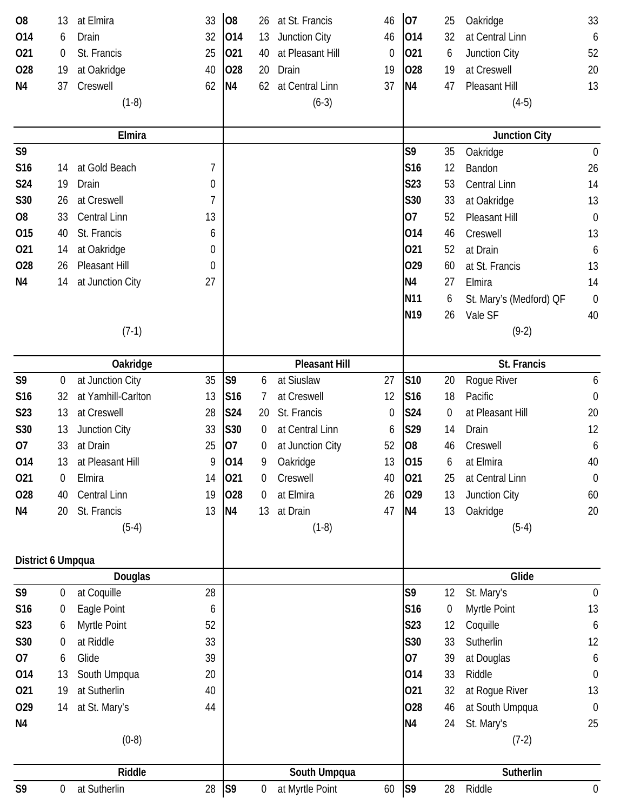| O <sub>8</sub>    | 13               | 33<br>at Elmira          |                | O <sub>8</sub>  | 26             | at St. Francis       | 46 | 07              | 25               | Oakridge                | 33               |
|-------------------|------------------|--------------------------|----------------|-----------------|----------------|----------------------|----|-----------------|------------------|-------------------------|------------------|
| 014               | 6                | 32<br>Drain              |                | 014             | 13             | Junction City        | 46 | 014             | 32               | at Central Linn         | 6                |
| 021               | 0                | St. Francis<br>25        |                | 021             | 40             | at Pleasant Hill     | 0  | 021             | 6                | Junction City           | 52               |
| 028               | 19               | at Oakridge<br>40        |                | 028             | 20             | Drain                | 19 | 028             | 19               | at Creswell             | 20               |
| N4                | 37               | Creswell<br>62           |                | N4              | 62             | at Central Linn      | 37 | N <sub>4</sub>  | 47               | Pleasant Hill           | 13               |
|                   |                  | $(1-8)$                  |                |                 |                | $(6-3)$              |    |                 |                  | $(4-5)$                 |                  |
|                   |                  |                          |                |                 |                |                      |    |                 |                  |                         |                  |
|                   |                  | Elmira                   |                |                 |                |                      |    |                 |                  | <b>Junction City</b>    |                  |
| S9                |                  |                          |                |                 |                |                      |    | S9              | 35               | Oakridge                | $\mathbf 0$      |
| S16               | 14               | at Gold Beach            | $\overline{7}$ |                 |                |                      |    | S16             | 12               | Bandon                  | 26               |
| <b>S24</b>        | 19               | Drain                    | $\mathbf 0$    |                 |                |                      |    | S23             | 53               | Central Linn            | 14               |
| S30               | 26               | at Creswell              | 7              |                 |                |                      |    | S30             | 33               | at Oakridge             | 13               |
| O <sub>8</sub>    | 33               | Central Linn<br>13       |                |                 |                |                      |    | 07              | 52               | Pleasant Hill           | $\mathbf 0$      |
| 015               | 40               | St. Francis              | 6              |                 |                |                      |    | 014             | 46               | Creswell                | 13               |
| 021               | 14               | at Oakridge              | 0              |                 |                |                      |    | 021             | 52               | at Drain                | 6                |
| 028               | 26               | Pleasant Hill            | 0              |                 |                |                      |    | 029             | 60               | at St. Francis          | 13               |
| N4                | 14               | at Junction City<br>27   |                |                 |                |                      |    | N <sub>4</sub>  | 27               | Elmira                  | 14               |
|                   |                  |                          |                |                 |                |                      |    | N <sub>11</sub> | 6                | St. Mary's (Medford) QF | $\boldsymbol{0}$ |
|                   |                  |                          |                |                 |                |                      |    | N <sub>19</sub> | 26               | Vale SF                 | 40               |
|                   |                  | $(7-1)$                  |                |                 |                |                      |    |                 |                  | $(9-2)$                 |                  |
|                   |                  |                          |                |                 |                |                      |    |                 |                  |                         |                  |
|                   |                  | Oakridge                 |                |                 |                | <b>Pleasant Hill</b> |    |                 |                  | St. Francis             |                  |
| S <sub>9</sub>    | $\boldsymbol{0}$ | at Junction City<br>35   |                | S <sub>9</sub>  | 6              | at Siuslaw           | 27 | S10             | 20               | Rogue River             | 6                |
| S16               | 32               | at Yamhill-Carlton<br>13 |                | S <sub>16</sub> | 7              | at Creswell          | 12 | S <sub>16</sub> | 18               | Pacific                 | $\boldsymbol{0}$ |
| S23               | 13               | at Creswell<br>28        |                | <b>S24</b>      | 20             | St. Francis          | 0  | S24             | $\overline{0}$   | at Pleasant Hill        | 20               |
| S30               | 13               | 33<br>Junction City      |                | S30             | 0              | at Central Linn      | 6  | S29             | 14               | Drain                   | 12               |
| 07                | 33               | at Drain<br>25           |                | 07              | $\overline{0}$ | at Junction City     | 52 | O <sub>8</sub>  | 46               | Creswell                | 6                |
| 014               | 13               | at Pleasant Hill         | 9              | 014             | 9              | Oakridge             | 13 | 015             | 6                | at Elmira               | 40               |
| 021               | 0                | Elmira<br>14             |                | 021             | 0              | Creswell             | 40 | 021             | 25               | at Central Linn         | $\boldsymbol{0}$ |
| 028               | 40               | Central Linn<br>19       |                | 028             | 0              | at Elmira            | 26 | 029             | 13               | Junction City           | 60               |
| N <sub>4</sub>    | 20               | St. Francis<br>13        |                | N <sub>4</sub>  | 13             | at Drain             | 47 | <b>N4</b>       | 13               | Oakridge                | 20               |
|                   |                  | $(5-4)$                  |                |                 |                | $(1-8)$              |    |                 |                  | $(5-4)$                 |                  |
|                   |                  |                          |                |                 |                |                      |    |                 |                  |                         |                  |
| District 6 Umpqua |                  |                          |                |                 |                |                      |    |                 |                  |                         |                  |
|                   |                  | Douglas                  |                |                 |                |                      |    |                 |                  | Glide                   |                  |
| S <sub>9</sub>    | $\boldsymbol{0}$ | 28<br>at Coquille        |                |                 |                |                      |    | S9              | 12               | St. Mary's              | $\mathbf 0$      |
| S16               | 0                | Eagle Point              | 6              |                 |                |                      |    | S <sub>16</sub> | $\boldsymbol{0}$ | Myrtle Point            | 13               |
| S23               | 6                | Myrtle Point<br>52       |                |                 |                |                      |    | S23             | 12               | Coquille                | 6                |
| S30               | $\boldsymbol{0}$ | at Riddle<br>33          |                |                 |                |                      |    | S30             | 33               | Sutherlin               | 12               |
| 07                | 6                | Glide<br>39              |                |                 |                |                      |    | 07              | 39               | at Douglas              | 6                |
| 014               | 13               | South Umpqua<br>20       |                |                 |                |                      |    | 014             | 33               | Riddle                  | $\mathbf 0$      |
| 021               | 19               | at Sutherlin<br>40       |                |                 |                |                      |    | 021             | 32               | at Rogue River          | 13               |
| 029               | 14               | at St. Mary's<br>44      |                |                 |                |                      |    | 028             | 46               | at South Umpqua         | $\boldsymbol{0}$ |
| N <sub>4</sub>    |                  |                          |                |                 |                |                      |    | N <sub>4</sub>  | 24               | St. Mary's              | 25               |
|                   |                  | $(0-8)$                  |                |                 |                |                      |    |                 |                  | $(7-2)$                 |                  |
|                   |                  |                          |                |                 |                |                      |    |                 |                  |                         |                  |
|                   |                  | Riddle                   |                |                 |                | South Umpqua         |    |                 |                  | Sutherlin               |                  |
| S9                | 0                | 28<br>at Sutherlin       |                | S <sub>9</sub>  | 0              | at Myrtle Point      | 60 | S9              | 28               | Riddle                  | $\boldsymbol{0}$ |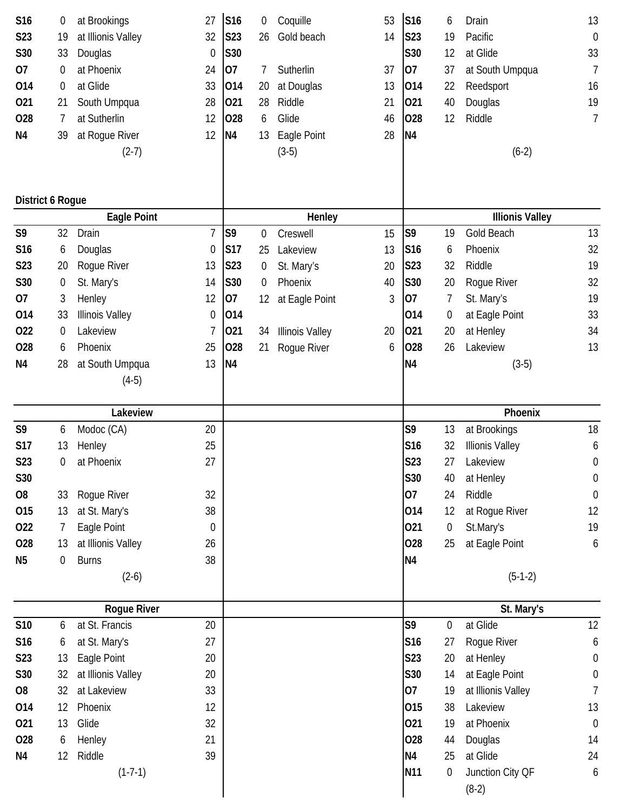| S16                     | 0                | at Brookings           | 27               | <b>S16</b>     | 0                | Coquille               | 53 | S16                    | 6                | Drain                  | 13               |  |
|-------------------------|------------------|------------------------|------------------|----------------|------------------|------------------------|----|------------------------|------------------|------------------------|------------------|--|
| S23                     | 19               | at Illionis Valley     | 32               | <b>S23</b>     | 26               | Gold beach             | 14 | <b>S23</b>             | 19               | Pacific                | $\mathbf 0$      |  |
| S30                     | 33               | Douglas                | 0                | S30            |                  |                        |    | S30                    | 12               | at Glide               | 33               |  |
| 07                      | 0                | at Phoenix             | 24               | 07             | 7                | Sutherlin              | 37 | 07                     | 37               | at South Umpqua        | $\overline{7}$   |  |
| 014                     | $\boldsymbol{0}$ | at Glide               | 33               | 014            | 20               | at Douglas             | 13 | 014                    | 22               | Reedsport              | 16               |  |
| 021                     | 21               | South Umpqua           | 28               | 021            | 28               | Riddle                 | 21 | 021                    | 40               | Douglas                | 19               |  |
| 028                     | 7                | at Sutherlin           | 12               | 028            | 6                | Glide                  | 46 | 028                    | 12               | Riddle                 | $\overline{7}$   |  |
| N <sub>4</sub>          | 39               | at Rogue River         | 12               | N <sub>4</sub> | 13               | Eagle Point            | 28 | N <sub>4</sub>         |                  |                        |                  |  |
|                         |                  | $(2-7)$                |                  |                |                  | $(3-5)$                |    |                        |                  | $(6-2)$                |                  |  |
|                         |                  |                        |                  |                |                  |                        |    |                        |                  |                        |                  |  |
| <b>District 6 Rogue</b> |                  |                        |                  |                |                  |                        |    |                        |                  |                        |                  |  |
|                         |                  | Eagle Point            |                  |                |                  | Henley                 |    | <b>Illionis Valley</b> |                  |                        |                  |  |
| S9                      | 32               | Drain                  | $\overline{1}$   | S9             | 0                | Creswell               | 15 | S <sub>9</sub>         | 19               | Gold Beach             | 13               |  |
| S16                     | 6                | Douglas                | 0                | <b>S17</b>     | 25               | Lakeview               | 13 | S <sub>16</sub>        | 6                | Phoenix                | 32               |  |
| S23                     | 20               | Rogue River            | 13               | S23            | $\boldsymbol{0}$ | St. Mary's             | 20 | <b>S23</b>             | 32               | Riddle                 | 19               |  |
| S30                     | $\boldsymbol{0}$ | St. Mary's             | 14               | S30            | 0                | Phoenix                | 40 | S30                    | 20               | Roque River            | 32               |  |
| 07                      | 3                | Henley                 | 12               | 07             | 12               | at Eagle Point         | 3  | 07                     | 7                | St. Mary's             | 19               |  |
| 014                     | 33               | <b>Illinois Valley</b> | $\boldsymbol{0}$ | 014            |                  |                        |    | 014                    | $\boldsymbol{0}$ | at Eagle Point         | 33               |  |
| 022                     | 0                | Lakeview               | 7                | 021            | 34               | <b>Illinois Valley</b> | 20 | 021                    | 20               | at Henley              | 34               |  |
| 028                     | 6                | Phoenix                | 25               | 028            | 21               | Rogue River            | 6  | 028                    | 26               | Lakeview               | 13               |  |
| N4                      | 28               | at South Umpqua        | 13               | N <sub>4</sub> |                  |                        |    | N4                     |                  | $(3-5)$                |                  |  |
|                         |                  | $(4-5)$                |                  |                |                  |                        |    |                        |                  |                        |                  |  |
|                         |                  |                        |                  |                |                  |                        |    |                        |                  |                        |                  |  |
| Lakeview                |                  |                        |                  |                |                  |                        |    |                        |                  | Phoenix                |                  |  |
| S9                      | 6                | Modoc (CA)             | 20               |                |                  |                        |    | S9                     | 13               | at Brookings           | 18               |  |
| S17                     | 13               | Henley                 | 25               |                |                  |                        |    | S <sub>16</sub>        | 32               | <b>Illionis Valley</b> | 6                |  |
| S23                     | 0                | at Phoenix             | 27               |                |                  |                        |    | <b>S23</b>             | 27               | Lakeview               | $\boldsymbol{0}$ |  |
| S30                     |                  |                        |                  |                |                  |                        |    | S30                    | 40               | at Henley              | 0                |  |
| O <sub>8</sub>          | 33               | Rogue River            | 32               |                |                  |                        |    | 07                     | 24               | Riddle                 | $\theta$         |  |
| 015                     | 13               | at St. Mary's          | 38               |                |                  |                        |    | 014                    | 12               | at Rogue River         | 12               |  |
| 022                     | 7                | Eagle Point            | 0                |                |                  |                        |    | 021                    | $\boldsymbol{0}$ | St.Mary's              | 19               |  |
| 028                     | 13               | at Illionis Valley     | 26               |                |                  |                        |    | 028                    | 25               | at Eagle Point         | 6                |  |
| N <sub>5</sub>          | $\mathbf 0$      | <b>Burns</b>           | 38               |                |                  |                        |    | N <sub>4</sub>         |                  |                        |                  |  |
|                         |                  | $(2-6)$                |                  |                |                  |                        |    |                        |                  | $(5-1-2)$              |                  |  |
|                         |                  | <b>Rogue River</b>     |                  |                |                  |                        |    |                        |                  | St. Mary's             |                  |  |
| <b>S10</b>              | 6                | at St. Francis         | 20               |                |                  |                        |    | S9                     | 0                | at Glide               | 12               |  |
| S16                     | 6                | at St. Mary's          | 27               |                |                  |                        |    | S <sub>16</sub>        | 27               | Rogue River            | 6                |  |
| S23                     | 13               | Eagle Point            | 20               |                |                  |                        |    | <b>S23</b>             | 20               | at Henley              | $\boldsymbol{0}$ |  |
| S30                     | 32               | at Illionis Valley     | 20               |                |                  |                        |    | S30                    | 14               | at Eagle Point         | $\boldsymbol{0}$ |  |
| O <sub>8</sub>          | 32               | at Lakeview            | 33               |                |                  |                        |    | 07                     | 19               | at Illionis Valley     | $\overline{7}$   |  |
| 014                     | 12               | Phoenix                | 12               |                |                  |                        |    | 015                    | 38               | Lakeview               | 13               |  |
| 021                     | 13               | Glide                  | 32               |                |                  |                        |    | 021                    | 19               | at Phoenix             | $\mathbf 0$      |  |
| 028                     | 6                | Henley                 | 21               |                |                  |                        |    | 028                    | 44               | Douglas                | 14               |  |
| N <sub>4</sub>          | 12               | Riddle                 | 39               |                |                  |                        |    | N <sub>4</sub>         | 25               | at Glide               | 24               |  |
|                         |                  | $(1-7-1)$              |                  |                |                  |                        |    | N <sub>11</sub>        | $\boldsymbol{0}$ | Junction City QF       | 6                |  |
|                         |                  |                        |                  |                |                  |                        |    |                        |                  | $(8-2)$                |                  |  |
|                         |                  |                        |                  |                |                  |                        |    |                        |                  |                        |                  |  |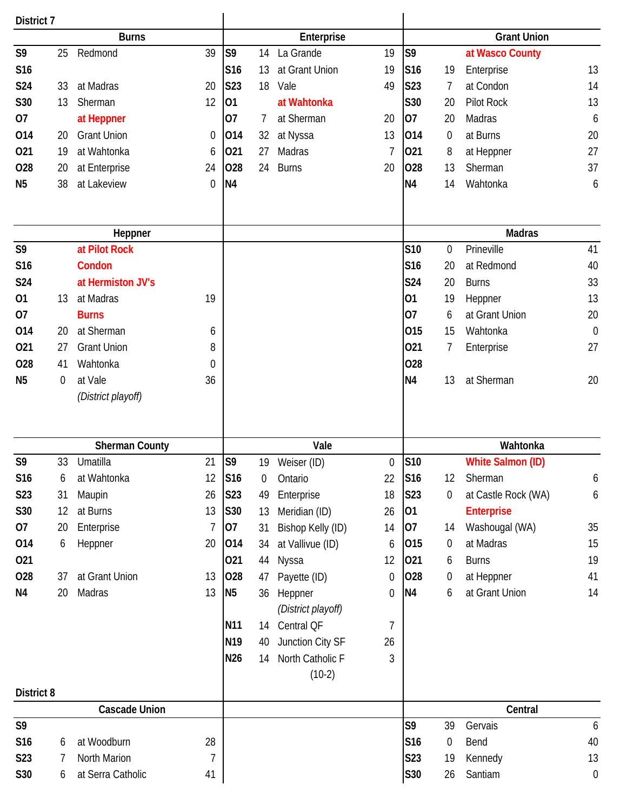| District 7        |    |                       |             |                 |                |                              |             |                 |                  |                          |                        |
|-------------------|----|-----------------------|-------------|-----------------|----------------|------------------------------|-------------|-----------------|------------------|--------------------------|------------------------|
|                   |    | <b>Burns</b>          |             |                 |                | Enterprise                   |             |                 |                  | <b>Grant Union</b>       |                        |
| S <sub>9</sub>    | 25 | Redmond               | 39          | S <sub>9</sub>  | 14             | La Grande                    | 19          | S <sub>9</sub>  |                  | at Wasco County          |                        |
| S16               |    |                       |             | S16             | 13             | at Grant Union               | 19          | S <sub>16</sub> | 19               | Enterprise               | 13                     |
| <b>S24</b>        | 33 | at Madras             | 20          | S23             | 18             | Vale                         | 49          | S23             | 7                | at Condon                | 14                     |
| S30               | 13 | Sherman               | 12          | 01              |                | at Wahtonka                  |             | <b>S30</b>      | 20               | Pilot Rock               | 13                     |
| 07                |    | at Heppner            |             | 07              | 7              | at Sherman                   | 20          | 07              | 20               | Madras                   | 6                      |
| 014               | 20 | <b>Grant Union</b>    | $\mathbf 0$ | 014             | 32             | at Nyssa                     | 13          | 014             | $\boldsymbol{0}$ | at Burns                 | 20                     |
| 021               | 19 | at Wahtonka           | 6           | 021             | 27             | Madras                       | 7           | 021             | 8                | at Heppner               | 27                     |
| 028               | 20 | at Enterprise         | 24          | 028             | 24             | <b>Burns</b>                 | 20          | 028             | 13               | Sherman                  | 37                     |
| N <sub>5</sub>    | 38 | at Lakeview           | $\mathbf 0$ | N <sub>4</sub>  |                |                              |             | <b>N4</b>       | 14               | Wahtonka                 | 6                      |
|                   |    | Heppner               |             |                 |                |                              |             |                 |                  | <b>Madras</b>            |                        |
| S9                |    | at Pilot Rock         |             |                 |                |                              |             | <b>S10</b>      | $\mathbf 0$      | Prineville               | 41                     |
| S <sub>16</sub>   |    | Condon                |             |                 |                |                              |             | S <sub>16</sub> | 20               | at Redmond               | 40                     |
| <b>S24</b>        |    | at Hermiston JV's     |             |                 |                |                              |             | <b>S24</b>      | 20               | <b>Burns</b>             | 33                     |
| 01                | 13 | at Madras             | 19          |                 |                |                              |             | 01              | 19               | Heppner                  | 13                     |
| 07                |    | <b>Burns</b>          |             |                 |                |                              |             | 07              | 6                | at Grant Union           | 20                     |
| 014               | 20 | at Sherman            | 6           |                 |                |                              |             | 015             | 15               | Wahtonka                 | $\theta$               |
| 021               | 27 | <b>Grant Union</b>    | 8           |                 |                |                              |             | 021             | 7                | Enterprise               | 27                     |
| 028               | 41 | Wahtonka              | $\mathbf 0$ |                 |                |                              |             | <b>O28</b>      |                  |                          |                        |
| N <sub>5</sub>    | 0  | at Vale               | 36          |                 |                |                              |             | N <sub>4</sub>  | 13               | at Sherman               | 20                     |
|                   |    | (District playoff)    |             |                 |                |                              |             |                 |                  |                          |                        |
|                   |    |                       |             |                 |                |                              |             |                 |                  |                          |                        |
|                   |    | <b>Sherman County</b> |             |                 |                | Vale                         |             |                 |                  | Wahtonka                 |                        |
| S9                | 33 | Umatilla              | 21          | S <sub>9</sub>  | 19             | Weiser (ID)                  | $\mathbf 0$ | <b>S10</b>      |                  | <b>White Salmon (ID)</b> |                        |
| S16               | 6  | at Wahtonka           | 12          | S16             | $\overline{0}$ | Ontario                      | 22          | S16             | 12               | Sherman                  | 6                      |
| S23               | 31 | Maupin                | 26          | S23             | 49             | Enterprise                   | 18          | S23             | 0                | at Castle Rock (WA)      | 6                      |
| S30               | 12 | at Burns              | 13          | S30             | 13             | Meridian (ID)                | 26          | 01              |                  | <b>Enterprise</b>        |                        |
| 07                | 20 | Enterprise            | 7           | 07              | 31             | Bishop Kelly (ID)            | 14          | 07              | 14               | Washougal (WA)           | 35                     |
| 014               | 6  | Heppner               | 20          | 014             | 34             | at Vallivue (ID)             | 6           | 015             | $\boldsymbol{0}$ | at Madras                | 15                     |
| 021               |    |                       |             | 021             | 44             | Nyssa                        | 12          | 021             | 6                | <b>Burns</b>             | 19                     |
| 028               | 37 | at Grant Union        | 13          | 028             | 47             | Payette (ID)                 | 0           | 028             | $\boldsymbol{0}$ | at Heppner               | 41                     |
| N4                | 20 | Madras                | 13          | N <sub>5</sub>  | 36             | Heppner                      | 0           | N <sub>4</sub>  | 6                | at Grant Union           | 14                     |
|                   |    |                       |             |                 |                | (District playoff)           |             |                 |                  |                          |                        |
|                   |    |                       |             | N11             | 14             | Central QF                   | 7           |                 |                  |                          |                        |
|                   |    |                       |             | N <sub>19</sub> | 40             | Junction City SF             | 26          |                 |                  |                          |                        |
|                   |    |                       |             | N26             | 14             | North Catholic F<br>$(10-2)$ | 3           |                 |                  |                          |                        |
| <b>District 8</b> |    | <b>Cascade Union</b>  |             |                 |                |                              |             |                 |                  | Central                  |                        |
| S9                |    |                       |             |                 |                |                              |             | S9              | 39               |                          |                        |
|                   |    | at Woodburn           |             |                 |                |                              |             |                 |                  | Gervais                  | $\boldsymbol{6}$<br>40 |
| S16               | 6  | North Marion          | 28          |                 |                |                              |             | S <sub>16</sub> | 0                | Bend                     |                        |
| S23               | 7  |                       | 7           |                 |                |                              |             | S23             | 19               | Kennedy                  | 13                     |
| S30               | 6  | at Serra Catholic     | 41          |                 |                |                              |             | S30             | 26               | Santiam                  | $\boldsymbol{0}$       |